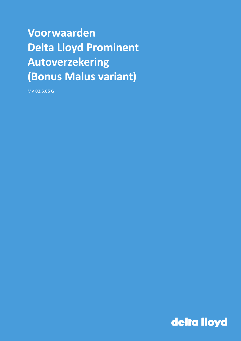# Voorwaarden **Delta Lloyd Prominent Autoverzekering** (Bonus Malus variant)

MV 03.5.05 G

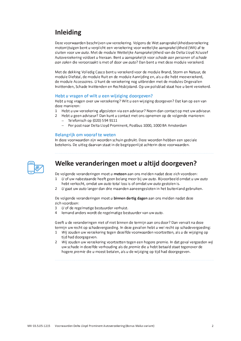## **Inleiding**

Deze voorwaarden beschrijven uw verzekering. Volgens de Wet aansprakelijkheidsverzekering motorrijtuigen bent u verplicht een verzekering voor wettelijke aansprakelijkheid (WA) af te sluiten voor uw auto. Met de module Wettelijke Aansprakelijkheid van de Delta Lloyd Xclusief Autoverzekering voldoet u hieraan. Bent u aansprakelijk voor schade aan personen of schade gan zaken die veroorzaakt is met of door uw auto? Dan bent u met deze module verzekerd.

Met de dekking Volledig Casco bent u verzekerd voor de module Brand, Storm en Natuur, de module Diefstal, de module Ruit en de module Aanrijding en, als u die hebt meeverzekerd, de module Accessoires. U kunt de verzekering nog uitbreiden met de modules Ongevallen Inzittenden, Schade Inzittenden en Rechtsbijstand. Op uw polisblad staat hoe u bent verzekerd.

#### Hebt u vragen of wilt u een wijziging doorgeven?

Hebt u nog vragen over uw verzekering? Wilt u een wijziging doorgeven? Dat kan op een van deze manieren:

- 1 Hebt u uw verzekering afgesloten via een adviseur? Neem dan contact op met uw adviseur.
- $\mathcal{L}$ Hebt u geen adviseur? Dan kunt u contact met ons opnemen op de volgende manieren:
	- $-$  Telefonisch op (020) 594 9111
	- Per post naar Delta Lloyd Prominent, Postbus 1000, 1000 BA Amsterdam

#### **Belangrijk om vooraf te weten**

In deze voorwaarden zijn woorden schuin gedrukt. Deze woorden hebben een speciale betekenis. De uitleg daarvan staat in de begrippenlijst achterin deze voorwaarden.



### Welke veranderingen moet u altijd doorgeven?

De volgende veranderingen moet u meteen aan ons melden nadat deze zich voordoen:

- $\mathbf{1}$ U of uw nabestaande heeft geen belang meer bij uw auto. Bijvoorbeeld omdat u uw auto hebt verkocht, omdat uw auto total loss is of omdat uw auto gestolen is.
- 2 U gaat uw auto langer dan drie maanden aaneengesloten in het buitenland gebruiken.

De volgende veranderingen moet u binnen dertig dagen aan ons melden nadat deze zich voordoen:

- $U$  of de regelmatige bestuurder verhuist.  $\overline{3}$
- lemand anders wordt de regelmatige bestuurder van uw auto.  $\Delta$

Geeft u de veranderingen niet of niet binnen de termijn aan ons door? Dan vervalt na deze termijn uw recht op schadevergoeding. In deze gevallen hebt u wel recht op schadevergoeding:

- 1 Wij zouden uw verzekering tegen dezelfde voorwaarden voortzetten, als u de wijziging op tijd had doorgegeven.
- 2 Wij zouden uw verzekering voortzetten tegen een hogere premie. In dat geval vergoeden wij uw schade in dezelfde verhouding als de premie die u hebt betaald staat tegenover de hogere premie die u moest betalen, als u de wijziging op tijd had doorgegeven.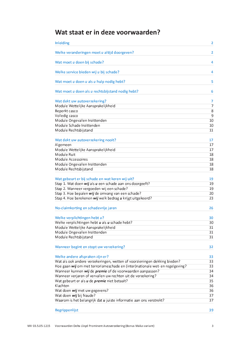## Wat staat er in deze voorwaarden?

| Inleiding                                                                     | $\overline{\mathbf{2}}$ |
|-------------------------------------------------------------------------------|-------------------------|
| Welke veranderingen moet u altijd doorgeven?                                  | 2                       |
| Wat moet u doen bij schade?                                                   | 4                       |
| Welke service bieden wij u bij schade?                                        | 4                       |
| Wat moet u doen u als u hulp nodig hebt?                                      | 5                       |
| Wat moet u doen als u rechtsbijstand nodig hebt?                              | 6                       |
| Wat dekt uw autoverzekering?                                                  | 7                       |
| Module Wettelijke Aansprakelijkheid                                           | 7                       |
| Beperkt casco                                                                 | 8                       |
| Volledig casco                                                                | 9                       |
| Module Ongevallen Inzittenden                                                 | 10                      |
| Module Schade Inzittenden                                                     | 10                      |
| Module Rechtsbijstand                                                         | 11                      |
|                                                                               |                         |
| Wat dekt uw autoverzekering nooit?                                            | 17                      |
| Algemeen                                                                      | 17                      |
|                                                                               |                         |
| Module Wettelijke Aansprakelijkheid                                           | 17                      |
| Module Ruit                                                                   | 18                      |
| Module Accessoires                                                            | 18                      |
| Module Ongevallen Inzittenden                                                 | 18                      |
| Module Rechtsbijstand                                                         | 18                      |
| Wat gebeurt er bij schade en wat keren wij uit?                               | 19                      |
| Stap 1. Wat doen wij als u een schade aan ons doorgeeft?                      | 19                      |
| Stap 2. Wanneer vergoeden wij een schade?                                     | 19                      |
| Stap 3. Hoe bepalen wij de omvang van een schade?                             | 20                      |
| Stap 4. Hoe berekenen wij welk bedrag u krijgt uitgekeerd?                    | 23                      |
|                                                                               |                         |
| No-claimkorting en schadevrije jaren                                          | 26                      |
| Welke verplichtingen hebt u?                                                  | 30                      |
| Welke verplichtingen hebt u als u schade hebt?                                | 30                      |
| Module Wettelijke Aansprakelijkheid                                           | 31                      |
| Module Ongevallen Inzittenden                                                 | 31                      |
| Module Rechtsbijstand                                                         | 31                      |
|                                                                               |                         |
| Wanneer begint en stopt uw verzekering?                                       | 32                      |
| Welke andere afspraken zijn er?                                               | 33                      |
| Wat als ook andere verzekeringen, wetten of voorzieningen dekking bieden?     | 33                      |
| Hoe gaan wij om met terrorismeschade en (inter)nationale wet- en regelgeving? | 33                      |
| Wanneer kunnen wij de premie of de voorwaarden aanpassen?                     | 34                      |
| Wanneer verjaren of vervallen uw rechten uit de verzekering?                  | 34                      |
| Wat gebeurt er als <i>u</i> de <i>premie</i> niet betaalt?                    | 35                      |
| Klachten                                                                      | 36                      |
| Wat doen wij met uw gegevens?                                                 | 36                      |
|                                                                               |                         |
| Wat doen wij bij fraude?                                                      | 37                      |
| Waarom is het belangrijk dat <i>u</i> juiste informatie aan ons verstrekt?    | 37                      |
| <b>Begrippenlijst</b>                                                         | 39                      |
|                                                                               |                         |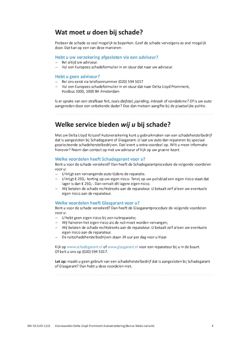### Wat moet u doen bij schade?

Probeer de schade zo veel mogelijk te beperken. Geef de schade vervolgens zo snel mogelijk door. Dat kan op een van deze manieren:

#### Hebt u uw verzekering afgesloten via een adviseur?

- Bel altiid uw adviseur.
- Vul een Europees schadeformulier in en stuur dat naar uw adviseur.

#### Hebt u geen adviseur?

- Bel ons eerst via telefoonnummer (020) 594 5017
- Vul een Europees schadeformulier in en stuur dat naar Delta Lloyd Prominent, Postbus 1000, 1000 BA Amsterdam

Is er sprake van een strafbaar feit, zoals diefstal, jovriding, inbraak of vandalisme? Of is uw auto aangereden door een onbekende dader? Doe dan meteen aangifte bij de plaatselijke politie.

### Welke service bieden wij u bij schade?

Met uw Delta Lloyd Xclusief Autoverzekering kunt u gebruikmaken van een schadeherstelbedrijf dat is aangesloten bij Schadegarant of Glasgarant. U laat uw *quto* dan repareren bij speciaal geselecteerde schadeherstelbedrijven. Dat levert u extra voordeel op. Wilt u meer informatie hierover? Neem dan contact op met uw adviseur of kijk op uw groene kaart.

#### Welke voordelen heeft Schadegarant voor u?

Bent u voor de schade verzekerd? Dan heeft de Schadegarantprocedure de volgende voordelen voor u:

- $-$  U krijgt een vervangende *auto* tijdens de reparatie.
- $-$  U krijgt  $\epsilon$  250,- korting op uw eigen risico. Tenzij op uw polisblad een eigen risico staat dat lager is dan € 250,-. Dan vervalt dit lagere eigen risico.
- Wij betalen de schade rechtstreeks aan de reparateur. U betaalt zelf alleen uw eventuele eigen risico aan de reparateur.

#### Welke voordelen heeft Glasgarant voor u?

Bent u voor de schade verzekerd? Dan heeft de Glasgarantprocedure de volgende voordelen voor  $u$ :

- $-$  U hebt geen eigen risico bij een ruitreparatie;
- Wij halveren het eigen risico als de ruit moet worden vervangen;
- Wij betalen de schade rechtstreeks aan de reparateur. U betaalt zelf alleen uw eventuele eigen risico aan de reparateur.
- De ruitschadeherstelbedrijven staan 24 uur per dag voor u klaar.

Kijk op www.schadegarant.nl of www.glasgarant.nl voor een reparateur bij u in de buurt. Of belt u ons op (020) 594 5017.

Let op: maakt u geen gebruik van een schadeherstelbedrijf dat is aangesloten bij Schadegarant of Glasgarant? Dan hebt u deze voordelen niet.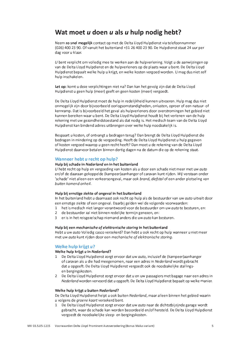### Wat moet u doen u als u hulp nodig hebt?

Neem zo snel mogelijk contact op met de Delta Lloyd Hulpdienst via telefoonnummer (026) 400 23 90. Of vanuit het buitenland +31 26 400 23 90. De Hulpdienst staat 24 uur per dag voor u klaar.

U bent verplicht om volledig mee te werken aan de hulpverlening. Volgt u de aanwijzingen op van de Delta Lloyd Hulpdienst en de hulpverleners op de plaats waar u bent. De Delta Lloyd Hulpdienst bepaalt welke hulp u krijgt, en welke kosten vergoed worden. U mag dus niet zelf hulp inschakelen.

Let op: komt u deze verplichtingen niet na? Dan kan het gevolg zijn dat de Delta Lloyd Hulpdienst u geen hulp (meer) geeft en geen kosten (meer) vergoedt.

De Delta Lloyd Hulpdienst moet de hulp in redelijkheid kunnen uitvoeren. Hulp mag dus niet onmogelijk zijn door bijvoorbeeld oorlogsomstandigheden, onlusten, oproer of een natuur- of kernramp. Dat is bijvoorbeeld het geval als hulpverleners door overstromingen het gebied niet kunnen bereiken waar u bent. De Delta Lloyd Hulpdienst houdt bij het verlenen van de hulp rekening met uw gezondheidstoestand als dat nodig is. Het medisch team van de Delta Lloyd Hulpdienst kan bindend advies uitbrengen over welke hulp noodzakelijk is.

Bespaart u kosten, of ontvangt u bedragen terug? Dan brengt de Delta Lloyd Hulpdienst die bedragen in mindering op de vergoeding. Heeft de Delta Lloyd Hulpdienst u hulp gegeven of kosten vergoed waarop u geen recht heeft? Dan moet u de rekening van de Delta Lloyd Hulpdienst daarvoor betalen binnen dertig dagen na de datum die op de rekening staat.

#### Wanneer hebt u recht op hulp?

#### Hulp bij schade in Nederland en in het buitenland

U hebt recht op hulp en vergoeding van kosten als u door een schade niet meer met uw auto en/of de daaraan gekoppelde (kampeer)aanhanger of caravan kunt rijden. Wij verstaan onder 'schade' niet alleen een verkeersongeval, maar ook brand, diefstal of een ander plotseling van buiten komend onheil.

#### Hulp bij ernstige ziekte of ongeval in het buitenland

In het buitenland hebt u daarnaast ook recht op hulp als de bestuurder van uw auto uitvalt door een ernstige ziekte of een ongeval. Daarbij gelden wel de volgende voorwaarden:

- 1 het is medisch niet langer verantwoord voor de bestuurder om uw *quto* te besturen, en:
- 2 de bestuurder zal niet binnen redelijke termijn genezen, en:
- 3 er is in het reisgezelschap niemand anders die uw auto kan besturen.

#### Hulp bij een mechanische of elektronische storing in het buitenland

Hebt u uw auto Volledig casco verzekerd? Dan hebt u ook recht op hulp wanneer u niet meer met uw auto kunt rijden door een mechanische of elektronische storing.

#### Welke hulp krijgt u?

#### Welke hulp krijgt u in Nederland?

- 1 De Delta Lloyd Hulpdienst zorgt ervoor dat uw auto, inclusief de (kampeer)aanhanger of caravan als u die had meegenomen, naar een adres in Nederland wordt gebracht dat u opgeeft. De Delta Lloyd Hulpdienst vergoedt ook de noodzakelijke stallingsen bergingskosten.
- 2 De Delta Lloyd Hulpdienst zorgt ervoor dat u en uw passagiers met bagage naar een adres in Nederland worden vervoerd dat u opgeeft. De Delta Lloyd Hulpdienst bepaalt op welke manier.

#### Welke hulp krijgt u buiten Nederland?

De Delta Lloyd Hulpdienst helpt u ook buiten Nederland, maar alleen binnen het gebied waarin u volgens de groene kaart verzekerd bent.

1 De Delta Lloyd Hulpdienst zorgt ervoor dat uw auto naar de dichtstbijzijnde garage wordt gebracht, waar de schade kan worden beoordeeld en/of hersteld. De Delta Lloyd Hulpdienst vergoedt de noodzakelijke sleep- en bergingskosten.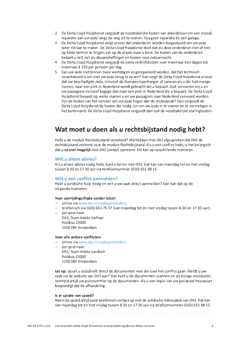- 2 De Delta Lloyd Hulpdienst vergoedt de noodzakelijke kosten van arbeidsloon om een (nood) reparatie aan uw auto langs de weg uit te voeren. Dus geen reparatie bij een garage.
- 3 De Delta Lloyd Hulpdienst zorgt ervoor dat onderdelen worden toegestuurd om uw auto weer rijklaar te maken. De Delta Lloyd Hulpdienst doet dat als deze onderdelen niet of niet op korte termijn te krijgen zijn op de plaats waar u bent. De kosten van de onderdelen betaalt u zelf, net als douaneheffingen en kosten voor retourvracht.
- 4 De Delta Lloyd Hulpdienst vergoedt de extra verblijfskosten voor maximaal tien dagen tot maximaal € 150 per persoon per dag.
- 5 Kan uw auto niet binnen twee werkdagen zo gerepareerd worden, dat het technisch verantwoord is om met uw auto terug te reizen? Dan zorgt de Delta Lloyd Hulpdienst ervoor dat uw beschadigde *auto*, inclusief de (kampeer)aanhanger of caravan als u die had meegenomen, naar een plek in Nederland wordt gebracht die u bepaalt. Ook vervoeren wij u en uw passagiers inclusief bagage dan naar een plek in Nederland die u bepaalt. De Delta Lloyd Hulpdienst bepaalt op welke manier u en uw passagiers naar Nederland vervoerd worden. Zijn de kosten van het vervoer van uw *guto* hoger dan de *restwagrde*? Dan vergoedt de Delta Lloyd Hulpdienst de kosten die nodig zijn om uw auto in te voeren en te vernietigen in het buitenland. De Delta Lloyd Hulpdienst vergoedt dan ook de noodzakelijke stallingkosten.

### Wat moet u doen als u rechtsbijstand nodig hebt?

Hebt u de module Rechtsbijstand verzekerd? Wij hebben met DAS afgesproken dat DAS de rechtsbijstand verleent voor de module Rechtsbijstand. Als u een conflict hebt, is het belangrijk dat u zo snel mogelijk met DAS contact opneemt. Dit kan op verschillende manieren.

#### Wilt u alleen advies?

Als u alleen advies nodig hebt, kunt u bellen met DAS. Dat kan van maandag tot en met vrijdag tussen 8.30 en 17.30 uur via telefoonnummer (020) 651 88 15.

#### Wilt u een conflict aanmelden?

Hebt u juridische hulp nodig en wilt u uw zaak direct aanmelden? Dan kan dat op de volgende manieren:

#### Voor aanrijdingschade zonder letsel:

- online via www.das.nl/zaakaanmelden.
- telefonisch via (020) 651 75 17 (van maandag tot en met vrijdag tussen 8.30 en 17.30 uur);
- per post naar: DAS, Team Intake Verhaal Postbus 23000 1100 DM Amsterdam

#### Voor alle andere conflicten:

- online via www.das.nl/zaakaanmelden:
- per post naar: DAS, Team Intake Juridisch Postbus 23000 1100 DM Amsterdam

Let op: stuurt u alstublieft direct de documenten mee die over het conflict gaan. Meldt u uw zaak via de website van DAS aan? Dan kunt u de documenten scannen en als bijlage meesturen. Vermeld altijd uw polisnummer op de documenten. Als u een kopie van uw polisblad meestuurt bespoedigt dat de afhandeling.

#### Is er sprake van spoed?

Neem bij spoed altijd eerst telefonisch contact op met de Juridische Adviesdesk van DAS. Dat kan van maandag tot en met vrijdag tussen 8.30 en 17.30 uur via telefoonnummer (020) 651 88 15.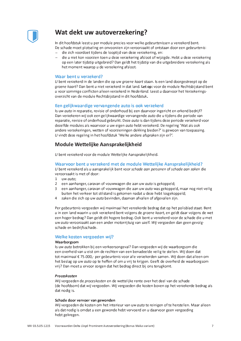

### Wat dekt uw autoverzekering?

In dit hoofdstuk leest u per module precies voor welke gebeurtenissen u verzekerd bent. De schade moet plotseling en onvoorzien zijn veroorzaakt of ontstaan door een *gebeurtenis*:

- die zich voordoet tijdens de looptijd van deze verzekering, en:
- die u niet kon voorzien toen u deze verzekering afsloot of wijzigde. Hebt u deze verzekering  $\equiv$ op een later tijdstip uitgebreid? Dan geldt het tijdstip van die uitgebreidere verzekering als het moment waarop u de verzekering afsloot.

#### Waar bent u verzekerd?

U bent verzekerd in de landen die op uw groene kaart staan. Is een land doorgestreept op de groene kaart? Dan bent u niet verzekerd in dat land. Let op: voor de module Rechtsbijstand bent u voor sommige conflicten alleen verzekerd in Nederland. Leest u daarvoor het Verzekeringsoverzicht van de module Rechtsbijstand in dit hoofdstuk.

#### Een gelijkwaardige vervangende auto is ook verzekerd

Is uw auto in reparatie, revisie of onderhoud bij een daarvoor ingericht en erkend bedrijf? Dan verzekeren wij ook een gelijkwaardige vervangende auto die u tijdens die periode van reparatie, revisie of onderhoud gebruikt. Deze auto is dan tijdens deze periode verzekerd voor dezelfde modules als waarvoor u uw eigen auto hebt verzekerd. De regeling 'Wat als ook andere verzekeringen, wetten of voorzieningen dekking bieden?' is gewoon van toepassing. U vindt deze regeling in het hoofdstuk 'Welke andere afspraken zijn er?'.

### Module Wettelijke Aansprakelijkheid

U bent verzekerd voor de module Wettelijke Aansprakelijkheid.

#### Waarvoor bent u verzekerd met de module Wettelijke Aansprakelijkheid?

U bent verzekerd als u aansprakelijk bent voor schade aan personen of schade aan zaken die veroorzaakt is met of door:

- 1 uw auto:
- 2 een aanhanger, caravan of vouwwagen die aan uw auto is gekoppeld;
- een aanhanger, caravan of vouwwagen die aan uw *auto* was gekoppeld, maar nog niet veilig  $\overline{3}$ buiten het verkeer tot stilstand is gekomen nadat u deze hebt losgekoppeld:
- 4 zaken die zich op uw auto bevinden, daarvan afvallen of afgevallen zijn.

Per gebeurtenis vergoeden wij maximaal het verzekerde bedrag dat op het polisblad staat. Bent u in een land waarin u ook verzekerd bent volgens de groene kaart, en geldt daar volgens de wet een hoger bedrag? Dan geldt dit hogere bedrag. Ook bent u verzekerd voor de schade die u met uw auto veroorzaakt aan een ander motorrijtuig van uzelf. Wij vergoeden dan geen gevolgschade en bedrijfsschade.

#### Welke kosten vergoeden wij?

#### Waarborgsom

Is uw *auto* betrokken bij een verkeersongeval? Dan vergoeden wij de waarborgsom die een overheid van u eist om de rechten van een benadeelde veilig te stellen. Wij doen dat tot maximaal € 75.000,- per gebeurtenis voor alle verzekerden samen. Wij doen dat alleen om het beslag op uw *quto* op te heffen of om *u* vrij te krijgen. Geeft de overheid de waarborgsom vrij? Dan moet u ervoor zorgen dat het bedrag direct bij ons terugkomt.

#### Proceskosten

Wij vergoeden de proceskosten en de wettelijke rente over het deel van de schade (de hoofdsom) dat wij vergoeden. Wij vergoeden die kosten boven op het verzekerde bedrag als dat nodig is.

#### Schade door vervoer van gewonden

Wij vergoeden de kosten om het interieur van uw auto te reinigen of te herstellen. Maar alleen als dat nodig is omdat u een gewonde hebt vervoerd en u daarvoor geen vergoeding hebt gekregen.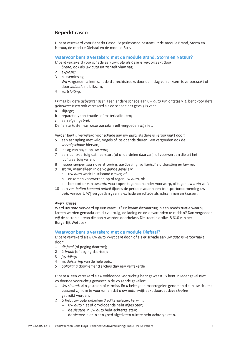### **Beperkt casco**

U bent verzekerd voor Beperkt Casco. Beperkt casco bestaat uit de module Brand, Storm en Natuur, de module Diefstal en de module Ruit.

#### Waarvoor bent u verzekerd met de module Brand, Storm en Natuur?

U bent verzekerd voor schade aan uw auto als deze is veroorzaakt door:

- 1 brand, ook als uw auto uit zichzelf vlam vat:
- 2 explosie:
- 3 blikseminslag; Wij vergoeden alleen schade die rechtstreeks door de inslag van bliksem is veroorzaakt of door inductie na bliksem;
- 4 kortsluiting.

Er mag bij deze *gebeurtenissen* geen andere schade aan uw *guto* zijn ontstaan. *U* bent voor deze gebeurtenissen ook verzekerd als de schade het gevolg is van:

- a slijtage;
- b reparatie-, constructie- of materiaalfouten;
- c een eigen gebrek.

De herstelkosten van deze oorzaken zelf vergoeden wij niet.

Verder bent u verzekerd voor schade aan uw auto, als deze is veroorzaakt door:

- 5 een aanriiding met wild, vogels of loslopende dieren. Wij vergoeden ook de vervolgschade hiervan;
- 6 inslag van hagel op uw auto;
- 7 een luchtvaartuig dat neerstort (of onderdelen daarvan), of voorwerpen die uit het luchtvaartuig vallen;
- 8 natuurrampen zoals overstroming, aardbeving, vulkanische uitbarsting en lawine;
- 9 storm, maar alleen in de volgende gevallen:
	- a uw auto waait in stilstand omver, of:
	- b er komen voorwerpen op of tegen uw auto, of:
	- c het portier van uw auto waait open tegen een ander voorwerp, of tegen uw auto zelf;
- 10 een van buiten komend onheil tijdens de periode waarin een transportonderneming uw auto vervoert. Wij vergoeden geen lakschade en schade als schrammen en krassen.

#### Averij grosse

Werd uw auto vervoerd op een vaartuig? En kwam dit vaartuig in een noodsituatie waarbij kosten werden gemaakt om dit vaartuig, de lading en de opvarenden te redden? Dan vergoeden wij de kosten hiervan die aan u worden doorbelast. Dit staat in artikel 8:610 van het Burgerlijk Wetboek.

#### Waarvoor bent u verzekerd met de module Diefstal?

U bent verzekerd als u uw auto kwijt bent door, of als er schade aan uw auto is veroorzaakt door:

- 1 diefstal (of poging daartoe);
- 2 *inbraak* (of poging daartoe);
- 3 joyriding;
- 4 verduistering van de hele auto:
- 5 oplichting door iemand anders dan een verzekerde.

U bent alleen verzekerd als u voldoende voorzichtig bent geweest. U bent in ieder geval niet voldoende voorzichtig geweest in de volgende gevallen:

- 1 Uw sleutels zijn gestolen of vermist. En u hebt geen maatregelen genomen die in uw situatie passend zijn om te voorkomen dat u uw auto kwijtraakt doordat deze sleutels gebruikt worden.
- 2 U hebt uw auto onbeheerd achtergelaten, terwijl u:
	- uw auto niet of onvoldoende hebt afgesloten;
	- de sleutels in uw auto hebt achtergelaten;
	- de sleutels niet in een goed afgesloten ruimte hebt achtergelaten.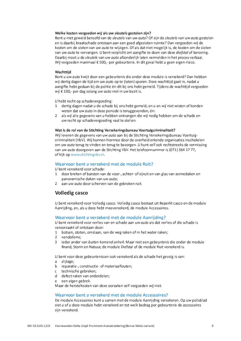#### Welke kosten vergoeden wij als uw sleutels gestolen zijn?

Bent u met geweld beroofd van de sleutels van uw auto? Of zijn de sleutels van uw auto gestolen en is daarbij braakschade ontstaan aan een goed afgesloten ruimte? Dan vergoeden wij de kosten om de sloten van uw *guto* te wijzigen. Of als dat niet mogelijk is, de kosten om de sloten van uw *auto* te vervangen. *U* bent verplicht om aangifte te doen van deze *diefstal* of beroving. Daarbij moet u de sleutels van uw auto afzonderlijk laten vermelden in het proces-verbaal. Wij vergoeden maximaal  $\epsilon$  500,- per *gebeurtenis*. In dit geval hebt u geen eigen risico.

#### Wachttiid

Bent u uw auto kwijt door een gebeurtenis die onder deze module is verzekerd? Dan hebben wij dertig dagen de tijd om uw auto op te (laten) sporen. Deze wachttijd gaat in, nadat u aangifte hebt gedaan bij de politie én dit bij ons hebt gemeld. Tijdens de wachttijd vergoeden  $wii \in 100$ .- per dag zolang uw *quto* niet in uw bezit is.

 $U$  hebt recht op schadevergoeding:

- 1 dertig dagen nadat u de schade bij ons hebt gemeld, en u en wij niet wisten of konden weten dat uw auto in deze periode is teruggevonden, én:
- 2 als wij alle gegevens van u hebben ontvangen die wij nodig hebben om de schade en uw recht op schadevergoeding vast te stellen.

#### Wat is de rol van de Stichting Verzekeringsbureau Voertuigcriminaliteit?

Wij leveren de gegevens van uw auto aan bij de Stichting Verzekeringsbureau Voertuigcriminaliteit (VbV). Wij kunnen hiermee door de overheid erkende organisaties inschakelen om uw auto terug te vinden en terug te bezorgen. U kunt zelf ook rechtstreeks de vermissing van uw auto doorgeven aan de Stichting VbV. Het telefoonnummer is (071) 364 17 77, of kijk op www.stichtingvbv.nl.

#### Waarvoor bent u verzekerd met de module Ruit?

U bent verzekerd voor schade:

- door breken of barsten van de voor-, achter- of zijruit en van glas van zonnedaken en  $\mathbf{1}$ panoramische daken van uw auto;
- 2 aan uw auto door scherven van de gebroken ruit.

#### **Volledig casco**

U bent verzekerd voor Volledig casco. Volledig casco bestaat uit Beperkt casco en de module Aanrijding, en, als u deze hebt meeverzekerd, de module Accessoires.

#### Waarvoor bent u verzekerd met de module Aanrijding?

U bent verzekerd voor verlies van en schade aan uw auto als dat verlies of die schade is veroorzaakt of ontstaan door:

- 1 botsen, stoten, omslaan, van de weg raken of in het water raken;
- 2 vandalisme:
- 3 jeder ander van buiten komend onheil. Maar niet een gebeurtenis die onder de module Brand. Storm en Natuur. de module Diefstal of de module Ruit verzekerd is.

U bent voor deze gebeurtenissen ook verzekerd als de schade het gevolg is van:

- a sliitage:
- b reparatie-, constructie- of materiaalfouten;
- c technische gebreken;
- d defect raken van onderdelen;
- e een eigen gebrek.

Maar de herstelkosten van deze oorzaken zelf vergoeden wij niet.

#### Waarvoor bent u verzekerd met de module Accessoires?

De module Accessoires kunt u samen met de module Aanriiding verzekeren. Op uw polisblad ziet u of u deze module hebt verzekerd en tot welk bedrag per gebeurtenis de accessoires zijn verzekerd.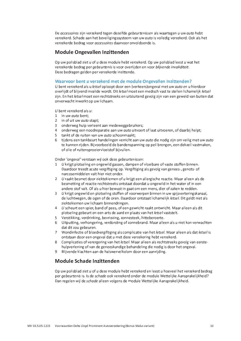De accessoires zijn verzekerd tegen dezelfde gebeurtenissen als waartegen u uw auto hebt verzekerd. Schade aan het beveiligingssysteem van uw auto is volledig verzekerd. Ook als het verzekerde bedrag voor accessoires daarvoor onvoldoende is.

### **Module Ongevallen Inzittenden**

Op uw polisblad ziet u of u deze module hebt verzekerd. Op uw polisblad leest u wat het verzekerde bedrag per gebeurtenis is voor overlijden en voor blijvende invaliditeit. Deze bedragen gelden per verzekerde inzittende.

#### Waarvoor bent u verzekerd met de module Ongevallen Inzittenden?

U bent verzekerd als u letsel oploopt door een (verkeers) ongeval met uw auto en u hierdoor overlijdt of blijvend invalide wordt. Dit letsel moet een medisch vast te stellen lichamelijk letsel zijn. En het letsel moet een rechtstreeks en uitsluitend gevolg zijn van een geweld van buiten dat onverwacht inwerkt op uw lichaam.

U bent verzekerd als  $u$ :

- 1 in uw auto bent;
- 2 in of uit uw *auto* stapt:
- 3 onderweg hulp verleent aan medeweggebruikers;
- 4 onderweg een noodreparatie aan uw auto uitvoert of laat uitvoeren, of daarbij helpt;
- 5 tankt of de ruiten van uw auto schoonmaakt;
- 6 tijdens een tankbeurt handelingen verricht aan uw *quto* die nodig zijn om veilig met uw *quto* te kunnen rijden. Bijvoorbeeld de bandenspanning op peil brengen, een dekzeil vastmaken, of olie of ruitensproeiervloeistof bijvullen.

Onder 'ongeval' verstaan wij ook deze gebeurtenissen:

- 1 U krijgt plotseling en ongewild gassen, dampen of vloeibare of vaste stoffen binnen. Daardoor treedt acute vergiftiging op. Vergiftiging als gevolg van genees-, genots- of narcosemiddelen valt hier niet onder.
- 2 U raakt besmet door ziektekiemen of u krijgt een allergische reactie. Maar alleen als de besmetting of reactie rechtstreeks ontstaat doordat u ongewild in het water of in een andere stof valt. Of als u hier bewust in gaat om een mens, dier of zaken te redden.
- 3 U kriigt ongewild en plotseling stoffen of voorwerpen binnen in uw spijsverteringskanaal. de luchtwegen, de ogen of de oren. Daardoor ontstaat lichamelijk letsel. Dit geldt niet als ziektekiemen uw lichaam binnendringen.
- 4 U scheurt een spier, band of pees, of een gewricht raakt ontwricht. Maar alleen als dit plotseling gebeurt en een arts de aard en plaats van het letsel vaststelt.
- 5 Verstikking, verdrinking, bevriezing, zonnesteek, hitteberoerte.
- 6 Uitputting, verhongering, verdorsting of zonnebrand. Maar alleen als u niet kon verwachten dat dit zou gebeuren.
- 7 Wondinfectie of bloedvergiftiging als complicatie van het letsel. Maar alleen als dat letsel is ontstaan door een ongeval dat u met deze verzekering hebt verzekerd.
- Complicaties of verergering van het letsel. Maar alleen als rechtstreeks gevolg van eerste-8 hulpverlening of van de geneeskundige behandeling die nodig is door het ongeval.
- 9 Blijvende klachten aan de halswervelkolom door een aanrijding.

#### Module Schade Inzittenden

Op uw polisblad ziet u of u deze module hebt verzekerd en leest u hoeveel het verzekerd bedrag per gebeurtenis is. Is de schade ook verzekerd onder de module Wettelijke Aansprakelijkheid? Dan regelen wij de schade alleen volgens de module Wettelijke Aansprakelijkheid.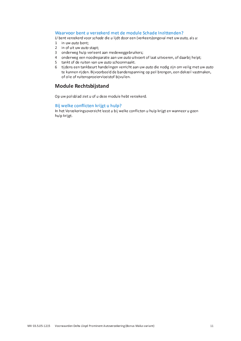#### Waarvoor bent u verzekerd met de module Schade Inzittenden?

U bent verzekerd voor schade die u lijdt door een (verkeers) ongeval met uw auto, als u:

- 1 in uw auto bent:
- 2 in of uit uw auto stapt;
- 3 onderweg hulp verleent aan medeweggebruikers;
- 4 onderweg een noodreparatie aan uw auto uitvoert of laat uitvoeren, of daarbij helpt;
- 5 tankt of de ruiten van uw auto schoonmaakt.
- 6 tijdens een tankbeurt handelingen verricht aan uw auto die nodig zijn om veilig met uw auto te kunnen rijden. Bijvoorbeeld de bandenspanning op peil brengen, een dekzeil vastmaken, of olie of ruitensproeiervloeistof bijvullen.

#### **Module Rechtsbijstand**

Op uw polisblad ziet u of u deze module hebt verzekerd.

#### Bij welke conflicten krijgt u hulp?

In het Verzekeringsoverzicht leest u bij welke conflicten u hulp krijgt en wanneer u geen hulp krijgt.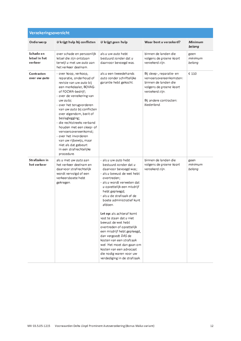| Verzekeringsoverzicht                 |                                                                                                                                                                                                                                                                                                                                                                                                                                                                                   |                                                                                                                                                                                                                                                                                                                                                                                                                                                                                                                                                                                          |                                                                                                                                                                    |                           |
|---------------------------------------|-----------------------------------------------------------------------------------------------------------------------------------------------------------------------------------------------------------------------------------------------------------------------------------------------------------------------------------------------------------------------------------------------------------------------------------------------------------------------------------|------------------------------------------------------------------------------------------------------------------------------------------------------------------------------------------------------------------------------------------------------------------------------------------------------------------------------------------------------------------------------------------------------------------------------------------------------------------------------------------------------------------------------------------------------------------------------------------|--------------------------------------------------------------------------------------------------------------------------------------------------------------------|---------------------------|
| Onderwerp                             | U krijgt hulp bij conflicten                                                                                                                                                                                                                                                                                                                                                                                                                                                      | $U$ krijgt geen hulp                                                                                                                                                                                                                                                                                                                                                                                                                                                                                                                                                                     | Waar bent u verzekerd?                                                                                                                                             | Minimum<br>belang         |
| Schade en<br>letsel in het<br>verkeer | over schade en persoonlijk<br>letsel die zijn ontstaan<br>terwijl u met uw auto aan<br>het verkeer deelnam.                                                                                                                                                                                                                                                                                                                                                                       | als u uw auto hebt<br>bestuurd zonder dat u<br>daarvoor bevoegd was.                                                                                                                                                                                                                                                                                                                                                                                                                                                                                                                     | binnen de landen die<br>volgens de groene kaart<br>verzekerd zijn.                                                                                                 | geen<br>minimum<br>belang |
| Contracten<br>over uw <i>auto</i>     | - over koop, verkoop,<br>reparatie, onderhoud of<br>revisie van uw auto bij<br>een merkdealer, BOVAG-<br>of FOCWA-bedrijf;<br>- over de verzekering van<br>uw auto;<br>- over het terugvorderen<br>van uw auto bij conflicten<br>over eigendom, bezit of<br>beslaglegging;<br>- die rechtstreeks verband<br>houden met een sleep- of<br>vervoersovereenkomst;<br>- over het invorderen<br>van uw rijbewijs, maar<br>niet als dat gebeurt<br>in een strafrechtelijke<br>procedure. | als u een tweedehands<br>auto zonder schriftelijke<br>garantie hebt gekocht.                                                                                                                                                                                                                                                                                                                                                                                                                                                                                                             | Bij sleep-, reparatie- en<br>vervoersovereenkomsten:<br>binnen de landen die<br>volgens de groene kaart<br>verzekerd zijn.<br>Bij andere contracten:<br>Nederland. | € 110                     |
| Strafzaken in<br>het verkeer          | als u met uw auto aan<br>het verkeer deelnam en<br>daarvoor strafrechtelijk<br>wordt vervolgd of een<br>verkeersboete hebt<br>gekregen.                                                                                                                                                                                                                                                                                                                                           | - als u uw auto hebt<br>bestuurd zonder dat u<br>daarvoor bevoegd was;<br>- als u bewust de wet hebt<br>overtreden:<br>- als u wordt verweten dat<br>u opzettelijk een misdrijf<br>hebt gepleegd;<br>- als u de strafzaak of de<br>boete administratief kunt<br>afdoen.<br>Let op: als achteraf komt<br>vast te staan dat u niet<br>bewust de wet hebt<br>overtreden of opzettelijk<br>een misdrijf hebt gepleegd,<br>dan vergoedt DAS de<br>kosten van een strafzaak<br>wel. Het moet dan gaan om<br>kosten van een advocaat<br>die nodig waren voor uw<br>verdediging in de strafzaak. | binnen de landen die<br>volgens de groene kaart<br>verzekerd zijn.                                                                                                 | geen<br>minimum<br>belang |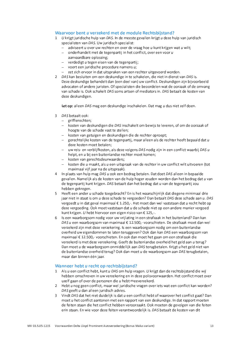#### Waarvoor bent u verzekerd met de module Rechtsbijstand?

- 1 U krijgt juridische hulp van DAS. In de meeste gevallen krijgt u deze hulp van juridisch specialisten van DAS. Uw juridisch specialist:
	- $-$  adviseert u over uw rechten en over de vraag hoe u kunt krijgen wat u wilt:
	- onderhandelt met de tegenpartij in het conflict, over een voor u
		- aanvaardbare oplossing;
	- verdedigt u tegen eisen van de tegenpartij;
	- voert een juridische procedure namens  $u$ :
	- zet zich ervoor in dat uitspraken van een rechter uitgevoerd worden.
- 2 DAS kan besluiten om een deskundige in te schakelen, die niet in dienst van DAS is. Deze deskundige behandelt dan (een deel van) uw conflict. Deskundigen zijn bijvoorbeeld advocaten of andere juristen. Of specialisten die beoordelen wat de oorzaak of de omvang van schade is. Ook schakelt DAS soms artsen of mediators in, DAS betaalt de kosten van deze deskundigen.

Let op: alleen DAS mag een deskundige inschakelen. Dat mag u dus niet zelf doen.

- 3 DAS betaalt ook:
	- griffierechten;
	- kosten van deskundigen die DAS inschakelt om bewijs te leveren, of om de oorzaak of hoogte van de schade vast te stellen;
	- kosten van getuigen en deskundigen die de rechter oproept;
	- gerechtelijke kosten van de tegenpartij, maar alleen als de rechter heeft bepaald dat u deze kosten moet betalen:
	- uw reis- en verblijfkosten, als deze volgens DAS nodig zijn in een conflict waarbij DAS u helpt, en u bij een buitenlandse rechter moet komen:
	- kosten van gerechtsdeurwaarders;
	- kosten die u maakt, als u een uitspraak van de rechter in uw conflict wilt uitvoeren (tot maximaal vijf jaar na de uitspraak).
- 4 In plaats van hulp mag DAS u ook een bedrag betalen. Dat doet DAS alleen in bepaalde gevallen. Namelijk als de kosten van de hulp hoger zouden worden dan het bedrag dat u van de tegenpartij kunt krijgen. DAS betaalt dan het bedrag dat u van de tegenpartij zou hebben gekregen.
- 5 Heeft een ander u schade toegebracht? En is het waarschijnlijk dat diegene minimaal drie jaar niet in staat is om u deze schade te vergoeden? Dan betaalt DAS deze schade aan u. DAS vergoedt u in dat geval maximaal € 1.250,-. Het moet dan wel vaststaan dat u recht hebt op deze vergoeding. Ook moet vaststaan dat u de schade niet op een andere manier vergoed kunt krijgen. U hebt hiervoor een eigen risico van € 125,-.
- 6 Is een waarborgsom nodig voor uw vrijlating in een strafzaak in het buitenland? Dan kan DAS u een waarborgsom van maximaal € 12.500,- voorschieten. De strafzaak moet dan wel verzekerd zijn met deze verzekering. Is een waarborgsom nodig om een buitenlandse overheid uw eigendommen te laten teruggeven? Ook dan kan DAS een waarborgsom van maximaal € 12.500,- voorschieten. En ook dan moet het gaan om een strafzaak die verzekerd is met deze verzekering. Geeft de buitenlandse overheid het geld aan u terug? Dan moet u de waarborgsom onmiddellijk aan DAS terugbetalen. Krijgt u het geld niet van de buitenlandse overheid terug? Ook dan moet u de waarborgsom aan DAS terugbetalen, maar dan binnen één jaar.

#### Wanneer hebt u recht op rechtsbijstand?

- 1 Als u een conflict hebt, kunt u DAS om hulp vragen. U krijgt dan de rechtsbijstand die wij hebben omschreven in uw verzekering en in deze polisvoorwaarden. Het conflict moet over uzelf gaan of over de personen die u hebt meeverzekerd.
- 2 Hebt u nog geen conflict, maar wel juridische vragen over iets wat een conflict kan worden? DAS geeft u dan alleen juridisch advies.
- 3 Vindt DAS dat het niet duidelijk is dat u een conflict hebt of waarover het conflict gaat? Dan moet u het conflict aantonen met een rapport van een deskundige. In dat rapport moeten de feiten staan die het conflict hebben veroorzaakt. Ook moeten de gevolgen van die feiten erin staan. En wie voor deze feiten verantwoordelijk is. DAS betaalt de kosten van dit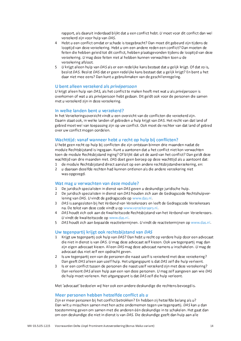rapport, als daaruit inderdaad blijkt dat u een conflict hebt. U moet voor dit conflict dan wel verzekerd zijn voor hulp van DAS.

- 4 Hebt u een conflict omdat er schade is toegebracht? Dan moet dit gebeurd zijn tijdens de looptijd van deze verzekering. Hebt u om een andere reden een conflict? Dan moeten de feiten die hebben geleid tot dit conflict, hebben plaatsgevonden tijdens de looptijd van deze verzekering. U mag deze feiten niet al hebben kunnen verwachten toen u de verzekering afsloot.
- 5 U kriigt alleen hulp van DAS als er een redelijke kans bestaat dat u gelijk kriigt. Of dat zo is. beslist DAS. Beslist DAS dat er geen redelijke kans bestaat dat u gelijk krijgt? En bent u het daar niet mee eens? Dan kunt u gebruikmaken van de geschillenregeling.

#### U bent alleen verzekerd als privépersoon

U krijgt alleen hulp van DAS, als het conflict te maken heeft met wat u als privépersoon is overkomen of wat u als privépersoon hebt gedaan. Dit geldt ook voor de personen die samen met u verzekerd zijn in deze verzekering.

#### In welke landen bent u verzekerd?

In het Verzekeringsoverzicht vindt u een overzicht van de conflicten die verzekerd zijn. Daarin staat ook, in welke landen of gebieden u hulp krijgt van DAS. Het recht van dat land of gebied moet wel van toepassing zijn op uw conflict. Ook moet de rechter van dat land of gebied over uw conflict mogen oordelen.

#### Wachttiid: vanaf wanneer hebt u recht op hulp bij conflicten?

U hebt geen recht op hulp bij conflicten die zijn ontstaan binnen drie maanden nadat de module Rechtsbijstand is ingegaan. Kunt u aantonen dat u het conflict niet kon verwachten toen de module Rechtsbijstand inging? Of blijkt dat uit de aard van het conflict? Dan geldt deze wachttijd van drie maanden niet. DAS doet geen beroep op deze wachttijd als u aantoont dat:

- 1 de module Rechtsbijstand direct aansluit op een andere rechtsbijstandverzekering, en:
- 2 u daaraan dezelfde rechten had kunnen ontlenen als die andere verzekering niet was opgezegd.

#### Wat mag u verwachten van deze module?

- 1 De juridisch specialisten in dienst van DAS geven u deskundige juridische hulp.
- 2 De juridisch specialisten in dienst van DAS houden zich aan de Gedragscode Rechtshulpverlening van DAS. U vindt de gedragscode op www.das.nl.
- 3 DAS is aangesloten bij het Verbond van Verzekeraars en leeft de Gedragscode Verzekeraars na. De tekst van deze code vindt u op www.verzekeraars.nl.
- 4 DAS houdt zich ook aan de Kwaliteitscode Rechtsbijstand van het Verbond van Verzekeraars. U vindt de kwaliteitscode op www.das.nl.
- 5 DAS houdt zich aan bepaalde reactietermijnen. U vindt de reactietermijnen op www.das.nl.

#### Uw tegenpartij krijgt ook rechtsbijstand van DAS

- 1 Krijgt uw tegenpartij ook hulp van DAS? Dan hebt u recht op verdere hulp door een advocaat die niet in dienst is van DAS. U mag deze advocaat zelf kiezen. Ook uw tegenpartij mag dan zijn eigen advocaat kiezen. Alleen DAS mag deze advocaat namens u inschakelen. U mag de advocaat dus niet zelf een opdracht geven.
- 2 Is uw tegenpartij een van de personen die naast uzelf is verzekerd met deze verzekering? Dan geeft DAS alleen aan uzelf hulp. Het uitgangspunt is dat DAS zelf die hulp verleent.
- 3 Is er een conflict tussen de personen die naast uzelf verzekerd zijn met deze verzekering? Dan verleent DAS alleen hulp aan een van deze personen. U mag zelf aangeven aan wie DAS de hulp moet verlenen. Het uitgangspunt is dat DAS zelf die hulp verleent.

Met 'advocaat' bedoelen wij hier ook een andere deskundige die rechtens bevoegd is.

#### Meer personen hebben hetzelfde conflict als u

Zijn er meer personen bij het conflict betrokken? En hebben zij hetzelfde belang als u? Dan wilt u misschien samen met hen actie ondernemen tegen uw tegenpartij. DAS kan u dan toestemming geven om samen met die anderen één deskundige in te schakelen. Het gaat dan om een deskundige die niet in dienst is van DAS. Die deskundige geeft dan hulp aan alle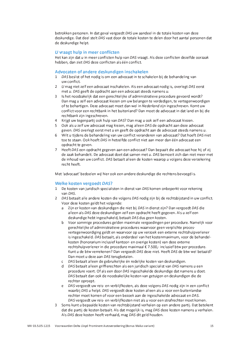betrokken personen. In dat geval vergoedt DAS uw aandeel in de totale kosten van deze deskundige. Dat deel stelt DAS vast door de totale kosten te delen door het aantal personen dat de deskundige helpt.

#### U vraagt hulp in meer conflicten

Het kan zijn dat u in meer conflicten hulp van DAS vraagt. Als deze conflicten dezelfde oorzaak hebben, dan ziet DAS deze conflicten als één conflict.

#### Advocaten of andere deskundigen inschakelen

- 1 DAS beslist of het nodig is om een advocaat in te schakelen bij de behandeling van uw conflict.
- $\overline{2}$ U mag niet zelf een advocaat inschakelen. Als een advocaat nodig is, overlegt DAS eerst met u. DAS geeft de opdracht aan een advocaat steeds namens u.
- 3 Is het noodzakelijk dat een gerechtelijke of administratieve procedure gevoerd wordt? Dan mag u zelf een advocaat kiezen om uw belangen te verdedigen, te vertegenwoordigen of te behartigen. Deze advocaat moet dan wel in Nederland zijn ingeschreven. Komt uw conflict voor een rechtbank in het buitenland? Dan moet de advocaat in dat land en bij die rechtbank zijn ingeschreven.
- 4 Krijgt uw tegenpartij ook hulp van DAS? Dan mag u ook zelf een advocaat kiezen.
- 5 Ook als u zelf uw advocaat mag kiezen, mag alleen DAS de opdracht aan deze advocaat geven. DAS overlegt eerst met u en geeft de opdracht aan de advocaat steeds namens u.
- 6 Wilt u tijdens de behandeling van uw conflict veranderen van advocaat? Dat hoeft DAS niet toe te staan. Ook hoeft DAS in hetzelfde conflict niet aan meer dan één advocaat een opdracht te geven.
- 7 Heeft DAS een opdracht gegeven aan een advocaat? Dan bepaalt die advocaat hoe hij of zij de zaak behandelt. De advocaat doet dat samen met u. DAS bemoeit zich dan niet meer met de inhoud van uw conflict. DAS betaalt alleen de kosten waarop u volgens deze verzekering recht heeft.

Met 'advocaat' bedoelen wij hier ook een andere deskundige die rechtens bevoegd is.

#### Welke kosten vergoedt DAS?

- 1 De kosten van juridisch specialisten in dienst van DAS komen onbeperkt voor rekening van DAS.
- 2 DAS betaalt alle andere kosten die volgens DAS nodig zijn bij de rechtsbijstand in uw conflict. Voor deze kosten geldt het volgende:
	- Zijn er kosten van deskundigen die niet bij DAS in dienst zijn? Dan vergoedt DAS die a. alleen als DAS deze deskundigen zelf een opdracht heeft gegeven. Als u zelf een deskundige hebt ingeschakeld, betaalt DAS dus geen kosten.
	- b Voor sommige procedures gelden maximale vergoedingen per procedure. Namelijk voor gerechtelijke of administratieve procedures waarvoor geen verplichte procesvertegenwoordiging geldt en waarvoor op uw verzoek een externe rechtshulpverlener is ingeschakeld. DAS betaalt, als onderdeel van het kostenmaximum, voor de behandelkosten (honorarium inclusief kantoor- en overige kosten) van deze externe rechtshulpverlener in die procedure maximaal € 7.500.- inclusief btw per procedure. Kunt u de btw verrekenen? Dan vergoedt DAS deze niet. Heeft DAS de btw wel betaald? Dan moet u deze aan DAS terugbetalen.
	- c DAS betaalt alleen de gebruikelijke én redelijke kosten van deskundigen.
	- d DAS betaalt alleen griffierechten als een juridisch specialist van DAS namens u een procedure voert. Of als een door DAS ingeschakelde deskundige dat namens u doet. DAS betaalt dan ook de noodzakelijke kosten van getuigen en deskundigen die de rechter oproept.
	- e DAS vergoedt uw reis- en verblijfkosten, als deze volgens DAS nodig zijn in een conflict waarbij DAS u helpt. DAS vergoedt deze kosten alleen als u voor een buitenlandse rechter moet komen of voor een bezoek aan de ingeschakelde advocaat en DAS. DAS vergoedt uw reis- en verblijfkosten niet als u voor een strafrechter moet komen.
- 3 Soms kunt u bepaalde kosten van rechtsbijstand verhalen op een andere partij. Dat betekent dat die partij de kosten betaalt. Als dat mogelijk is, mag DAS deze kosten namens u verhalen. Als DAS deze kosten heeft verhaald, mag DAS dit geld houden.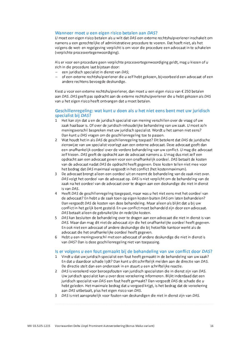#### Wanneer moet u een eigen risico betalen aan DAS?

U moet een eigen risico betalen als u wilt dat DAS een externe rechtshulpverlener inschakelt om namens u een gerechtelijke of administratieve procedure te voeren. Dat hoeft niet, als het volgens de wet- en regelgeving verplicht is om voor die procedure een advocaat in te schakelen (verplichte procesvertegenwoordiging).

Als er voor een procedure geen verplichte procesvertegenwoordiging geldt, mag u kiezen of u zich in die procedure laat bijstaan door:

- een juridisch specialist in dienst van DAS;
- of een externe rechtshulpverlener die u zelf hebt gekozen, bijvoorbeeld een advocaat of een andere rechtens bevoegde deskundige.

Kiest u voor een externe rechtshulpverlener, dan moet u een eigen risico van € 250 betalen aan DAS. DAS geeft pas opdracht aan de externe rechtshulpverlener die u hebt gekozen als DAS van u het eigen risico heeft ontvangen dat u moet betalen.

#### Geschillenregeling: wat kunt u doen als u het niet eens bent met uw juridisch specialist bij DAS?

- 1 Het kan zijn dat u en de juridisch specialist van mening verschillen over de vraag of uw zaak haalbaar is. Of over de juridisch-inhoudelijke behandeling van uw zaak. U moet zo'n meningsverschil bespreken met uw juridisch specialist. Wordt u het samen niet eens? Dan kunt u DAS vragen om de geschillenregeling toe te passen.
- 2 Wat houdt het in als DAS de geschillenregeling toepast? Dit betekent dat DAS de juridische zienswijze van uw specialist voorlegt aan een externe advocaat. Deze advocaat geeft dan een onafhankelijk oordeel over de verdere behandeling van uw conflict. U mag die advocaat zelf kiezen. DAS geeft de opdracht aan de advocaat namens u. U mag dus niet zelf een opdracht aan een advocaat geven voor een onafhankelijk oordeel. DAS betaalt de kosten van de advocaat nadat DAS de opdracht heeft gegeven. Deze kosten tellen niet mee voor het bedrag dat DAS maximaal vergoedt in het conflict (het kostenmaximum).
- 3 De advocaat brengt alleen een oordeel uit en neemt de behandeling van de zaak niet over. DAS volgt het oordeel van de advocaat op. DAS is niet verplicht om de behandeling van de zaak na het oordeel van de advocaat over te dragen aan een deskundige die niet in dienst is van DAS.
- 4 Heeft DAS de geschillenregeling toegepast, maar was u het niet eens met het oordeel van de advocaat? En hebt u de zaak toen op eigen kosten buiten DAS om laten behandelen? Dan vergoedt DAS de kosten van deze behandeling. Maar alleen als blijkt dat u bij uw conflict in het gelijk bent gesteld. En uw conflict moet behandeld zijn door een advocaat. DAS betaalt alleen de gebruikelijke én redelijke kosten.
- 5 DAS kan besluiten de behandeling over te dragen aan een advocaat die niet in dienst is van DAS. Maar dan mag dit niet de advocaat zijn die het onafhankelijke oordeel heeft gegeven. En ook niet een advocaat of andere deskundige die bij hetzelfde kantoor werkt als de advocaat die het onafhankelijke oordeel heeft gegeven.
- 6 Hebt u een meningsverschil met een advocaat of andere deskundige die niet in dienst is van DAS? Dan is deze geschillenregeling niet van toepassing.

#### Is er volgens u een fout gemaakt bij de behandeling van uw conflict door DAS?

- 1 Vindt u dat uw juridisch specialist een fout heeft gemaakt in de behandeling van uw zaak? En dat u daardoor schade liidt? Dan kunt u dit schriftelijk melden aan de directie van DAS. De directie stelt dan een onderzoek in en stuurt u een schriftelijke reactie.
- 2 DAS is verzekerd voor beroepsfouten van juridisch specialisten die in dienst zijn van DAS. Uw juridisch specialist kan u over deze verzekering informeren. Blijkt inderdaad dat een juridisch specialist van DAS een fout heeft gemaakt? Dan vergoedt DAS de schade die u hebt geleden. Het maximale bedrag dat u vergoed krijgt, is het bedrag dat de verzekering aan DAS uitbetaalt, plus het eigen risico van DAS.
- 3 DAS is niet aansprakelijk voor fouten van deskundigen die niet in dienst zijn van DAS.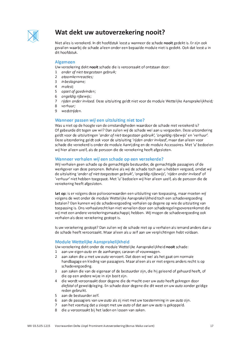

### Wat dekt uw autoverzekering nooit?

Niet alles is verzekerd. In dit hoofdstuk leest u wanneer de schade nooit gedekt is. Er zijn ook gevallen waarbij de schade alleen onder een bepaalde module niet is gedekt. Ook dat leest u in dit hoofdstuk.

#### **Algemeen**

Uw verzekering dekt nooit schade die is veroorzaakt of ontstaan door:

- 1 ander of niet-toegestaan gebruik;
- 2 atoomkernreacties;
- 3 inbeslagname;
- 4 molest;
- 5 opzet of goedvinden;
- 6 ongeldig rijbewijs;
- 7 rijden onder invloed. Deze uitsluiting geldt niet voor de module Wettelijke Aansprakelijkheid:
- 8 verhuur:
- 9 wedstrijden.

#### Wanneer passen wij een uitsluiting niet toe?

Was u niet op de hoogte van de omstandigheden waardoor de schade niet verzekerd is? Of gebeurde dit tegen uw wil? Dan zullen wij de schade wel aan u vergoeden. Deze uitzondering geldt voor de uitsluitingen 'ander of niet-toegestaan gebruik', 'ongeldig rijbewijs' en 'verhuur'. Deze uitzondering geldt ook voor de uitsluiting 'rijden onder invloed', maar dan alleen voor schade die verzekerd is onder de module Aanrijding en de module Accessoires. Met 'u' bedoelen wij hier alleen uzelf, als de persoon die de verzekering heeft afgesloten.

#### Wanneer verhalen wij een schade op een verzekerde?

Wij verhalen geen schade op de gemachtigde bestuurder, de gemachtigde passagiers of de werkgever van deze personen. Behalve als wij de schade toch aan u hebben vergoed, omdat wij de uitsluiting 'ander of niet-toegestaan gebruik', 'ongeldig rijbewijs', 'rijden onder invloed' of 'verhuur' niet hebben toegepast. Met 'u' bedoelen wij hier alleen uzelf, als de persoon die de verzekering heeft afgesloten.

Let op: is er volgens deze polisvoorwaarden een uitsluiting van toepassing, maar moeten wij volgens de wet onder de module Wettelijke Aansprakelijkheid toch een schadevergoeding betalen? Dan kunnen wij de schadevergoeding verhalen op degene op wie de uitsluiting van toepassing is. Ons verhaalsrecht kan niet vervallen door een schaderegelingsovereenkomst die wij met een andere verzekeringsmaatschappij hebben. Wij mogen de schadevergoeding ook verhalen als deze verzekering gestopt is.

Is uw verzekering gestopt? Dan zullen wij de schade niet op u verhalen als iemand anders dan u de schade heeft veroorzaakt. Maar alleen als u zelf aan uw verplichtingen hebt voldaan.

#### Module Wettelijke Aansprakelijkheid

Uw verzekering dekt onder de module Wettelijke Aansprakelijkheid nooit schade:

- 1 aan uw eigen auto en de aanhanger, caravan of vouwwagen.
- aan zaken die u met uw auto vervoert. Dat doen wij wel als het gaat om normale  $\mathcal{L}$ handbagage en kleding van passagiers. Maar alleen als er niet ergens anders recht is op schadevergoeding.
- 3 aan zaken die van de eigenaar of de bestuurder zijn, die hij geleend of gehuurd heeft, of die op een andere wijze in zijn bezit zijn.
- 4 die wordt veroorzaakt door degene die de macht over uw *auto* heeft gekregen door diefstal of geweldpleging. En schade door degene die dit weet en uw auto zonder geldige reden gebruikt.
- 5 aan de bestuurder zelf.
- 6 aan de passagiers van uw auto als zij niet met uw toestemming in uw auto zijn.
- 7 aan het voertuig dat u sleept met uw *auto* of dat aan uw *auto* is gekoppeld.
- 8 die u veroorzaakt bij het laden en lossen van zaken.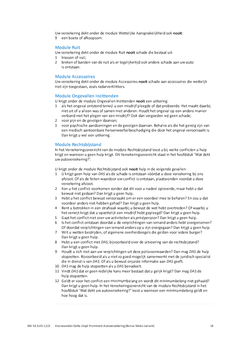Uw verzekering dekt onder de module Wettelijke Aansprakelijkheid ook nooit:

9 een boete of afkoopsom.

#### **Module Ruit**

Uw verzekering dekt onder de module Ruit nooit schade die bestaat uit:

- 1 krassen of vuil;
- 2 breken of barsten van de ruit als er tegelijkertijd ook andere schade aan uw auto is ontstaan.

#### **Module Accessoires**

Uw verzekering dekt onder de module Accessoires nooit schade aan accessoires die wettelijk niet zijn toegestaan, zoals radarverklikkers.

#### **Module Ongevallen Inzittenden**

U krijgt onder de module Ongevallen Inzittenden nooit een uitkering:

- 1 als het ongeval ontstond terwijl u een misdrijf pleegde of dat probeerde. Het maakt daarbij niet uit of u alleen was of samen met anderen. Houdt het ongeval op een andere manier verband met het plegen van een misdrijf? Ook dan vergoeden wij geen schade;
- 2 voor pijn en de gevolgen daarvan;
- 3 voor psychische aandoeningen en de gevolgen daarvan. Behalve als die het gevolg zijn van een medisch aantoonbare hersenweefselbeschadiging die door het ongeval veroorzaakt is. Dan krijgt u wel een uitkering.

#### **Module Rechtsbiistand**

In het Verzekeringsoverzicht van de module Rechtsbijstand leest u bij welke conflicten u hulp krijgt en wanneer u geen hulp krijgt. Dit Verzekeringsoverzicht staat in het hoofdstuk 'Wat dekt uw autoverzekering?'.

U krijgt onder de module Rechtsbijstand ook nooit hulp in de volgende gevallen:

- 1 U krijgt geen hulp van DAS als de schade is ontstaan vóórdat u deze verzekering bij ons afsloot. Of als de feiten waardoor uw conflict is ontstaan, plaatsvonden voordat u deze verzekering afsloot.
- 2 Kon u het conflict voorkomen zonder dat dit voor u nadeel opleverde, maar hebt u dat bewust niet gedaan? Dan krijgt u geen hulp.
- 3 Hebt u het conflict bewust veroorzaakt om er een voordeel mee te behalen? En zou u dat voordeel anders niet hebben gehad? Dan krijgt u geen hulp.
- 4 Bent u betrokken in een strafzaak waarbij u bewust de wet hebt overtreden? Of waarbij u het verwijt krijgt dat u opzettelijk een misdrijf hebt gepleegd? Dan krijgt u geen hulp.
- 5 Gaat het conflict niet over uw activiteiten als privépersoon? Dan krijgt u geen hulp.
- 6 Is het conflict ontstaan doordat u de verplichtingen van iemand anders hebt overgenomen? Of doordat verplichtingen van iemand anders op u zijn overgegaan? Dan krijgt u geen hulp.
- 7 Wilt u wetten bestrijden, of algemene overheidsregels die gelden voor iedere burger? Dan krijgt u geen hulp.
- 8 Hebt u een conflict met DAS, bijvoorbeeld over de uitvoering van de rechtsbijstand? Dan krijgt u geen hulp.
- 9 Houdt u zich niet aan uw verplichtingen uit deze polisvoorwaarden? Dan mag DAS de hulp stopzetten. Bijvoorbeeld als u niet zo goed mogelijk samenwerkt met de juridisch specialist die in dienst is van DAS. Of als u bewust oniuiste informatie aan DAS geeft.
- 10 DAS mag de hulp stopzetten als u DAS benadeelt.
- 11 Vindt DAS dat er geen redelijke kans meer bestaat dat u gelijk krijgt? Dan mag DAS de hulp stopzetten.
- 12 Geldt er voor het conflict een minimumbelang en wordt dit minimumbelang niet gehaald? Dan krijgt u geen hulp. In het Verzekeringsoverzicht van de module Rechtsbijstand in het hoofdstuk 'Wat dekt uw autoverzekering?' leest u wanneer een minimumbelang geldt en hoe hoog dat is.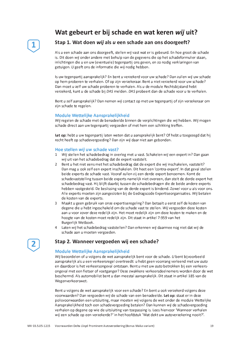### Wat gebeurt er bij schade en wat keren wij uit?



### Stap 1. Wat doen wij als u een schade aan ons doorgeeft?

Als u een schade aan ons doorgeeft, stellen wij vast wat er is gebeurd. En hoe groot de schade is. Dit doen wij onder andere met behulp van de gegevens die op het schadeformulier staan, inlichtingen die u en uw (eventuele) tegenpartij ons geven, en zo nodig verklaringen van getuigen. U geeft ons de informatie die wij nodig hebben.

Is uw tegenpartij aansprakelijk? En bent u verzekerd voor uw schade? Dan zullen wij uw schade op hem proberen te verhalen. Of op zijn verzekeraar. Bent u niet verzekerd voor uw schade? Dan moet u zelf uw schade proberen te verhalen. Als u de module Rechtsbijstand hebt verzekerd, kunt u de schade bij DAS melden. DAS probeert dan de schade voor u te verhalen.

Bent u zelf aansprakelijk? Dan nemen wij contact op met uw tegenpartij of zijn verzekeraar om zijn schade te regelen.

#### Module Wettelijke Aansprakelijkheid

Wij regelen de schade met de benadeelde binnen de verplichtingen die wij hebben. Wij mogen schade direct aan uw tegenpartij vergoeden of met hem een schikking treffen.

Let op: hebt  $u$  uw tegenpartij laten weten dat  $u$  aansprakelijk bent? Of hebt  $u$  toegezegd dat hij recht heeft op schadevergoeding? Dan zijn wij daar niet aan gebonden.

#### Hoe stellen wij uw schade vast?

- 1 Wij stellen het schadebedrag in overleg met u vast. Schakelen wij een expert in? Dan gaan wij uit van het schadebedrag dat de expert vaststelt.
- 2 Bent u het niet eens met het schadebedrag dat de expert die wij inschakelen, vaststelt? Dan mag u ook zelf een expert inschakelen. Dit heet een 'contra-expert'. In dat geval stellen beide experts de schade vast. Vooraf zullen zij een derde expert benoemen. Komt de schadevaststelling tussen beide experts namelijk niet overeen, dan stelt de derde expert het schadebedrag vast. Hij blijft daarbij tussen de schadebedragen die de beide andere experts hebben vastgesteld. De beslissing van de derde expert is bindend. Zowel voor u als voor ons. Alle experts moeten zijn aangesloten bij de Gedragscode Expertiseorganisaties. Wij betalen de kosten van de experts.
- 3 Maakt u geen gebruik van onze expertiseregeling? Dan betaalt u eerst zelf de kosten van degene die u hebt ingeschakeld om de schade vast te stellen. Wij vergoeden deze kosten aan u voor zover deze redelijk zijn. Het moet redelijk zijn om deze kosten te maken en de hoogte van de kosten moet redelijk zijn. Dit staat in artikel 7:959 van het Burgerlijk Wetboek.
- 4 Laten wij het schadebedrag vaststellen? Dan erkennen wij daarmee nog niet dat wij de schade aan u moeten vergoeden.

#### Stap 2. Wanneer vergoeden wij een schade?

#### Module Wettelijke Aansprakelijkheid

Wij beoordelen of u volgens de wet aansprakelijk bent voor de schade. U bent bijvoorbeeld aansprakelijk als u een verkeersregel overtreedt: u hebt geen voorrang verleend met uw auto en daardoor is het verkeersongeval ontstaan. Bent u met uw auto betrokken bij een verkeersongeval met een fietser of voetganger? Deze zwakkere verkeersdeelnemers worden door de wet beschermd. Als automobilist bent u dan meestal aansprakelijk. Dit staat in artikel 185 van de Wegenverkeerswet.

Bent u volgens de wet aansprakelijk voor een schade? En bent u ook verzekerd volgens deze voorwaarden? Dan vergoeden wij de schade van een benadeelde. Let op: staat er in deze polisvoorwaarden een uitsluiting, maar moeten wij volgens de wet onder de module Wettelijke Aansprakelijkheid toch een schadevergoeding betalen? Dan kunnen wij de schadevergoeding verhalen op degene op wie de uitsluiting van toepassing is. Lees hiervoor 'Wanneer verhalen wij een schade op een verzekerde?' in het hoofdstuk 'Wat dekt uw autoverzekering nooit?'.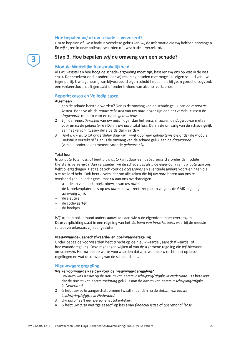#### Hoe bepalen wij of uw schade is verzekerd?

Om te bepalen of uw schade is verzekerd gebruiken wij de informatie die wij hebben ontvangen. En wij kijken in deze polisvoorwaarden of uw schade is verzekerd.

#### Stap 3. Hoe bepalen wij de omvang van een schade?

#### Module Wettelijke Aansprakelijkheid

Als wij vaststellen hoe hoog de schadevergoeding moet zijn, baseren wij ons op wat in de wet staat. Dat betekent onder andere dat wij rekening houden met mogelijke eigen schuld van uw tegenpartij. Uw tegenpartij kan bijvoorbeeld eigen schuld hebben als hij geen gordel droeg, ook een verkeersfout heeft gemaakt of onder invloed van alcohol verkeerde.

#### Beperkt casco en Volledig casco

#### Algemeen

- 1 Kan de schade hersteld worden? Dan is de omvang van de schade gelijk aan de reparatiekosten. Behalve als de reparatiekosten van uw auto hoger zijn dan het verschil tussen de dagwaarde meteen voor en na de gebeurtenis.
- 2 Zijn de reparatiekosten van uw auto hoger dan het verschil tussen de dagwaarde meteen voor en na de *gebeurtenis*? Dan is uw *auto* total loss. Dan is de omvang van de schade gelijk aan het verschil tussen deze beide dagwaarden.
- 3 Bent u uw auto (of onderdelen daarvan) kwijt door een gebeurtenis die onder de module Diefstal is verzekerd? Dan is de omvang van de schade gelijk aan de dagwaarde (van die onderdelen) meteen voor de gebeurtenis.

#### **Total loss**

Is uw auto total loss, of bent u uw auto kwijt door een gebeurtenis die onder de module Diefstal is verzekerd? Dan vergoeden wij de schade pas als u de eigendom van uw auto aan ons hebt overgedragen. Dat geldt ook voor de accessoires en eventuele andere voorzieningen die u verzekerd hebt. Ook bent u verplicht om alle zaken die bij uw auto horen aan ons te overhandigen. In ieder geval moet u aan ons overhandigen:

- alle delen van het kentekenbewijs van uw auto;
- de kentekenplaten (als op uw *auto* nieuwe kentekenplaten volgens de GAIK-regeling aanwezig ziin):
- de sleutels:
- de codekaarten;
- de boekjes.

Wij kunnen ook iemand anders aanwijzen aan wie u de eigendom moet overdragen. Deze verplichting staat in een regeling van het Verbond van Verzekeraars, waarbij de meeste schadeverzekeraars zijn aangesloten.

#### Nieuwwaarde-, aanschafwaarde- en boekwaarderegeling

Onder bepaalde voorwaarden hebt u recht op de nieuwwaarde-, aanschafwaarde- of boekwaarderegeling. Deze regelingen wijken af van de algemene regeling die wij hiervoor omschreven. Hierna leest u welke voorwaarden dat zijn, wanneer u recht hebt op deze regelingen en wat de omvang van de schade dan is.

#### **Nieuwwaarderegeling**

#### Welke voorwaarden gelden voor de nieuwwaarderegeling?

- 1 Uw auto was nieuw op de datum van eerste inschrijving/afgifte in Nederland. Dit betekent dat de datum van eerste toelating gelijk is aan de datum van eerste inschrijving/afgifte in Nederland.
- 2 U hebt uw auto aangeschaft binnen twaalf maanden na de datum van eerste inschrijving/afaifte in Nederland.
- 3 Uw auto heeft een personenautokenteken.
- 4 U hebt uw auto niet "geleased" op basis van financial lease of operational lease.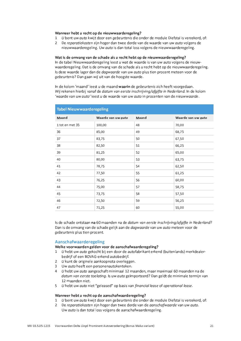#### Wanneer hebt u recht op de nieuwwaarderegeling?

- 1 U bent uw auto kwijt door een gebeurtenis die onder de module Diefstal is verzekerd, of:
- 2 De reparatiekosten zijn hoger dan twee derde van de waarde van uw auto volgens de nieuwwaarderegeling. Uw *quto* is dan total loss volgens de nieuwwaarderegeling.

#### Wat is de omvang van de schade als u recht hebt op de nieuwwaarderegeling?

In de tabel Nieuwwaarderegeling leest u wat de waarde is van uw auto volgens de nieuwwaarderegeling. Dat is de omvang van de schade als u recht hebt op de nieuwwaarderegeling. Is deze waarde lager dan de *dagwaarde* van uw auto plus tien procent meteen voor de gebeurtenis? Dan gaan wij uit van de hoogste waarde.

In de kolom 'maand' leest u de maand waarin de gebeurtenis zich heeft voorgedaan. Wij rekenen hierbij vanaf de datum van eerste inschrijving/afgifte in Nederland. In de kolom 'waarde van uw auto' leest u de waarde van uw auto in procenten van de nieuwwaarde.

| <b>Tabel Nieuwwaarderegeling</b> |                    |       |                    |
|----------------------------------|--------------------|-------|--------------------|
| Maand                            | Waarde van uw auto | Maand | Waarde van uw auto |
| 1 tot en met 35                  | 100,00             | 48    | 70,00              |
| 36                               | 85,00              | 49    | 68,75              |
| 37                               | 83,75              | 50    | 67,50              |
| 38                               | 82,50              | 51    | 66,25              |
| 39                               | 81,25              | 52    | 65,00              |
| 40                               | 80,00              | 53    | 63,75              |
| 41                               | 78,75              | 54    | 62,50              |
| 42                               | 77,50              | 55    | 61,25              |
| 43                               | 76,25              | 56    | 60,00              |
| 44                               | 75,00              | 57    | 58,75              |
| 45                               | 73,75              | 58    | 57,50              |
| 46                               | 72,50              | 59    | 56,25              |
| 47                               | 71,25              | 60    | 55,00              |

Is de schade ontstaan na 60 maanden na de *datum van eerste inschrijving/afgifte in Nederland*? Dan is de omvang van de schade gelijk aan de dagwaarde van uw auto meteen voor de gebeurtenis plus tien procent.

#### Aanschafwaarderegeling

#### Welke voorwaarden gelden voor de aanschafwaarderegeling?

- 1 U hebt uw auto gekocht bij een door de autofabrikant erkend (buitenlands) merkdealerbedrijf of een BOVAG-erkend autobedrijf.
- 2 U kunt de originele aankoopnota overleggen.
- 3 Uw auto heeft een personenautokenteken.
- 4 U hebt uw auto aangeschaft minimaal 12 maanden, maar maximaal 60 maanden na de datum van eerste toelating. Is uw auto geïmporteerd? Dan geldt de minimale termijn van 12 maanden niet.
- 5 U hebt uw auto niet "geleased" op basis van financial lease of operational lease.

#### Wanneer hebt u recht op de aanschafwaarderegeling?

- 1 U bent uw auto kwijt door een gebeurtenis die onder de module Diefstal is verzekerd, of:
- 2 De reparatiekosten zijn hoger dan twee derde van de aanschafwaarde van uw auto. Uw auto is dan total loss volgens de aanschafwaarderegeling.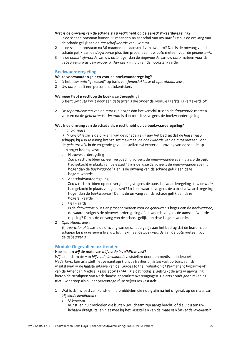#### Wat is de omvang van de schade als u recht hebt op de aanschafwaarderegeling?

- 1 Is de schade ontstaan binnen 36 maanden na aanschaf van uw auto? Dan is de omvang van de schade gelijk aan de ganschafwaarde van uw auto.
- 2 Is de schade ontstaan na 36 maanden na aanschaf van uw auto? Dan is de omvang van de schade gelijk aan de *dagwaarde* plus tien procent van uw *guto* meteen voor de *gebeurtenis*.
- 3 Is de aanschafwaarde van uw auto lager dan de dagwaarde van uw auto meteen voor de gebeurtenis plus tien procent? Dan gaan wij uit van de hoogste waarde.

#### **Boekwaarderegeling**

#### Welke voorwaarden gelden voor de boekwaarderegeling?

- 1 U hebt uw auto "geleased" op basis van financial lease of operational lease.
- 2 Uw auto heeft een personenautokenteken.

#### Wanneer hebt u recht op de boekwaarderegeling?

- 1 U bent uw auto kwijt door een gebeurtenis die onder de module Diefstal is verzekerd, of:
- 2 De reparatiekosten van de auto zijn hoger dan het verschil tussen de dagwaarde meteen voor en na de *gebeurtenis*. Uw *auto* is dan total loss volgens de boekwaarderegeling.

#### Wat is de omvang van de schade als u recht hebt op de boekwaarderegeling?

1 Financial lease

Bij financial lease is de omvang van de schade gelijk aan het bedrag dat de leasemaatschappii bij u in rekening brengt, tot maximaal de boekwaarde van de auto meteen voor de gebeurtenis. In de volgende gevallen stellen wij echter de omvang van de schade op een hoger bedrag vast:

a Nieuwwaarderegeling

Zou u recht hebben op een vergoeding volgens de nieuwwaarderegeling als u de auto had gekocht in plaats van geleased? En is de waarde volgens de nieuwwaarderegeling hoger dan de boekwaarde? Dan is de omvang van de schade gelijk aan deze hogere waarde.

b Aanschafwaarderegeling

Zou u recht hebben op een vergoeding volgens de aanschafwaarderegeling als u de auto had gekocht in plaats van geleased? En is de waarde volgens de aanschafwaarderegeling hoger dan de *boekwagrde*? Dan is de omvang van de schade gelijk aan deze hogere waarde.

c Dagwaarde

Is de *daawaarde* plus tien procent meteen voor de *gebeurtenis* hoger dan de *boekwaarde*. de waarde volgens de nieuwwaarderegeling of de waarde volgens de aanschafwaarderegeling? Dan is de omvang van de schade gelijk aan deze hogere waarde.

2 Operational lease

Bij operational lease is de omvang van de schade gelijk aan het bedrag dat de leasemaatschappij bij u in rekening brengt, tot maximaal de boekwaarde van de auto meteen voor de gebeurtenis.

#### **Module Ongevallen Inzittenden**

#### Hoe stellen wij de mate van blijvende invaliditeit vast?

Wij laten de mate van blijvende invaliditeit vaststellen door een medisch onderzoek in Nederland. Een arts stelt het percentage (functie)verlies bij letsel vast op basis van de maatstaven in de laatste uitgave van de 'Guides to the Evaluation of Permanent Impairment' van de American Medical Association (AMA). Als dat nodig is, gebruikt de arts in aanvulling hierop de richtlijnen van Nederlandse specialistenverenigingen. De arts houdt geen rekening met uw beroep als hij het percentage (functie)verlies vaststelt.

- 1 Wat is de invloed van kunst- en hulpmiddelen die nodig zijn na het ongeval, op de mate van bliivende invaliditeit?
	- a Uitwendig

Kunst- en hulpmiddelen die buiten uw lichaam zijn aangebracht, of die u buiten uw lichaam draagt, tellen niet mee bij het vaststellen van de mate van blijvende invaliditeit.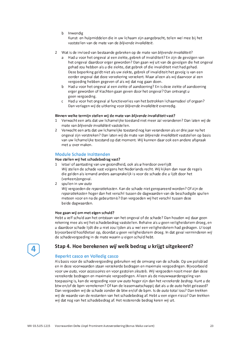b Inwendig

Kunst- en hulpmiddelen die in uw lichaam zijn aangebracht, tellen wel mee bij het vaststellen van de mate van de blijvende invaliditeit.

- 2 Wat is de invloed van bestaande gebreken op de mate van blijvende invaliditeit?
	- a Had u voor het ongeval al een ziekte, gebrek of invaliditeit? En zijn de gevolgen van het ongeval daardoor erger geworden? Dan gaan wij uit van de gevolgen die het ongeval gehad zou hebben als u die ziekte, dat gebrek of die invaliditeit niet had gehad. Deze beperking geldt niet als uw ziekte, gebrek of invaliditeit het gevolg is van een eerder ongeval dat deze verzekering verzekert. Maar alleen als wij daarvoor al een vergoeding hebben gegeven of als wij dat nog gaan doen.
	- b Had u voor het ongeval al een ziekte of aandoening? En is deze ziekte of aandoening erger geworden of klachten gaan geven door het ongeval? Dan ontvangt u geen vergoeding.
	- c Had u voor het ongeval al functieverlies van het betrokken lichaamsdeel of orgaan? Dan verlagen wij de uitkering voor blijvende invaliditeit evenredig.

#### Binnen welke termijn stellen wij de mate van blijvende invaliditeit vast?

- 1 Verwacht een arts dat uw lichamelijke toestand niet meer zal veranderen? Dan laten wij de mate van blijvende invaliditeit vaststellen.
- 2 Verwacht een arts dat uw lichamelijke toestand nog kan veranderen als er drie jaar na het ongeval zijn verstreken? Dan laten wij de mate van blijvende invaliditeit vaststellen op basis van uw lichamelijke toestand op dat moment. Wij kunnen daar ook een andere afspraak met u over maken.

#### Module Schade Inzittenden

#### Hoe stellen wij het schadebedrag vast?

- 1 letsel of aantasting van uw gezondheid, ook als u hierdoor overlijdt Wij stellen de schade vast volgens het Nederlands recht. Wij kijken dan naar de regels die gelden als iemand anders aansprakelijk is voor de schade die u lijdt door het (verkeers) ongeval.
- 2 spullen in uw auto

Wij vergoeden de reparatiekosten. Kan de schade niet gerepareerd worden? Of zijn de reparatiekosten hoger dan het verschil tussen de dagwaarden van de beschadigde spullen meteen voor en na de gebeurtenis? Dan vergoeden wij het verschil tussen deze beide dagwaarden.

#### Hoe gaan wij om met eigen schuld?

Hebt u zelf schuld aan het ontstaan van het ongeval of de schade? Dan houden wij daar geen rekening mee als wij het schadebedrag vaststellen. Behalve als u geen veiligheidsriem droeg, en u daardoor schade lijdt die u niet zou lijden als u wel een veiligheidsriem had gedragen. U loopt bijvoorbeeld hoofdletsel op, doordat u geen veiligheidsriem droeg. In dat geval verminderen wij de schadevergoeding in de mate waarin u eigen schuld hebt.

#### Stap 4. Hoe berekenen wij welk bedrag u krijgt uitgekeerd?

#### Beperkt casco en Volledig casco

Als basis voor de schadevergoeding gebruiken wij de omvang van de schade. Op uw polisblad en in deze voorwaarden staan verzekerde bedragen en maximale vergoedingen. Bijvoorbeeld voor uw auto, voor accessoires en voor gestolen sleutels. Wij vergoeden nooit meer dan deze verzekerde bedragen en maximale vergoedingen. Alleen als de nieuwwaarderegeling van toepassing is, kan de vergoeding voor uw auto hoger zijn dan het verzekerde bedrag. Kunt u de btw en/of de bpm verrekenen? Of kan de leasemaatschappij dat als u de auto hebt geleased? Dan vergoeden wij de schade zonder de btw en/of de bpm. Is de auto total loss? Dan trekken wij de waarde van de restanten van het schadebedrag af. Hebt u een eigen risico? Dan trekken wij dat nog van het schadebedrag af. Het resterende bedrag keren wij uit.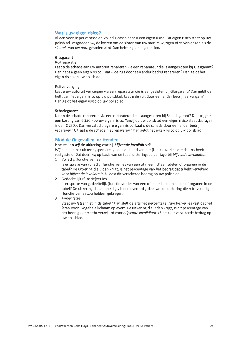#### Wat is uw eigen risico?

Alleen voor Beperkt casco en Volledig casco hebt u een eigen risico. Dit eigen risico staat op uw polisblad. Vergoeden wij de kosten om de sloten van uw *guto* te wijzigen of te vervangen als de sleutels van uw auto gestolen zijn? Dan hebt u geen eigen risico.

#### Glasgarant

#### Ruitreparatie

Laat u de schade aan uw autoruit repareren via een reparateur die is aangesloten bij Glasgarant? Dan hebt u geen eigen risico. Laat u de ruit door een ander bedrijf repareren? Dan geldt het eigen risico op uw polisblad.

#### Ruitvervanging

Laat u uw autoruit vervangen via een reparateur die is aangesloten bij Glasgarant? Dan geldt de helft van het eigen risico op uw polisblad. Laat u de ruit door een ander bedrijf vervangen? Dan geldt het eigen risico op uw polisblad.

#### Schadegarant

Laat u de schade repareren via een reparateur die is aangesloten bij Schadegarant? Dan krijgt u een korting van € 250,- op uw eigen risico. Tenzij op uw polisblad een eigen risico staat dat lager is dan € 250,-. Dan vervalt dit lagere eigen risico. Laat  $u$  de schade door een ander bedrijf repareren? Of laat u de schade niet repareren? Dan geldt het eigen risico op uw polisblad.

#### **Module Ongevallen Inzittenden**

#### Hoe stellen wij de uitkering vast bij blijvende invaliditeit?

Wij bepalen het uitkeringspercentage aan de hand van het (functie)verlies dat de arts heeft vastgesteld. Dat doen wij op basis van de tabel uitkeringspercentage bij blijvende invaliditeit.

1 Volledig (functie) verlies

Is er sprake van volledig (functie)verlies van een of meer lichaamsdelen of organen in de tabel? De uitkering die u dan krijgt, is het percentage van het bedrag dat u hebt verzekerd voor blijvende invaliditeit. U leest dit verzekerde bedrag op uw polisblad.

2 Gedeeltelijk (functie) verlies

Is er sprake van gedeeltelijk (functie)verlies van een of meer lichaamsdelen of organen in de tabel? De uitkering die u dan krijgt, is een evenredig deel van de uitkering die u bij volledig (functie) verlies zou hebben gekregen.

3 Ander letsel

Staat uw letsel niet in de tabel? Dan stelt de arts het percentage (functie)verlies vast dat het letsel voor uw gehele lichaam oplevert. De uitkering die u dan krijgt, is dit percentage van het bedrag dat u hebt verzekerd voor blijvende invaliditeit. U leest dit verzekerde bedrag op uw polisblad.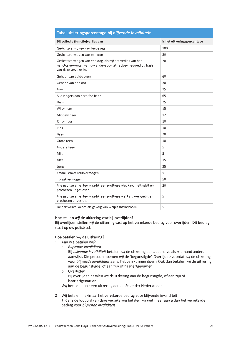| Tabel uitkeringspercentage bij blijvende invaliditeit                                                                                              |                             |
|----------------------------------------------------------------------------------------------------------------------------------------------------|-----------------------------|
| Bij volledig (functie) verlies van                                                                                                                 | is het uitkeringspercentage |
| Gezichtsvermogen van beide ogen                                                                                                                    | 100                         |
| Gezichtsvermogen van één oog                                                                                                                       | 30                          |
| Gezichtsvermogen van één oog, als wij het verlies van het<br>gezichtsvermogen van uw andere oog al hebben vergoed op basis<br>van deze verzekering | 70                          |
| Gehoor van beide oren                                                                                                                              | 60                          |
| Gehoor van één oor                                                                                                                                 | 30                          |
| Arm                                                                                                                                                | 75                          |
| Alle vingers aan dezelfde hand                                                                                                                     | 65                          |
| Duim                                                                                                                                               | 25                          |
| Wijsvinger                                                                                                                                         | 15                          |
| Middelvinger                                                                                                                                       | 12                          |
| Ringvinger                                                                                                                                         | 10                          |
| Pink                                                                                                                                               | 10                          |
| Been                                                                                                                                               | 70                          |
| Grote teen                                                                                                                                         | 10                          |
| Andere teen                                                                                                                                        | 5                           |
| Milt                                                                                                                                               | 5                           |
| Nier                                                                                                                                               | 15                          |
| Long                                                                                                                                               | 25                          |
| Smaak-en/of reukvermogen                                                                                                                           | 5                           |
| Spraakvermogen                                                                                                                                     | 50                          |
| Alle gebitselementen waarbij een prothese niet kan, melkgebit en<br>prothesen uitgesloten                                                          | 20                          |
| Alle gebitselementen waarbij een prothese wel kan, melkgebit en<br>prothesen uitgesloten                                                           | 5                           |
| De halswervelkolom als gevolg van whiplashsyndroom                                                                                                 | 5                           |

#### Hoe stellen wij de uitkering vast bij overlijden?

Bij overlijden stellen wij de uitkering vast op het verzekerde bedrag voor overlijden. Dit bedrag staat op uw polisblad.

#### Hoe betalen wij de uitkering?

- 1 Aan wie betalen wii?
	- a Bliivende invaliditeit

Bij blijvende invaliditeit betalen wij de uitkering aan u, behalve als u iemand anders aanwijst. Die persoon noemen wij de 'begunstigde'. Overlijdt u voordat wij de uitkering voor blijvende invaliditeit aan u hebben kunnen doen? Ook dan betalen wij de uitkering aan de begunstigde, of aan zijn of haar erfgenamen.

b Overlijden Bij overlijden betalen wij de uitkering aan de begunstigde, of aan zijn of haar erfgenamen.

Wij betalen nooit een uitkering aan de Staat der Nederlanden.

2 Wij betalen maximaal het verzekerde bedrag voor blijvende invaliditeit Tijdens de looptijd van deze verzekering betalen wij niet meer aan u dan het verzekerde bedrag voor blijvende invaliditeit.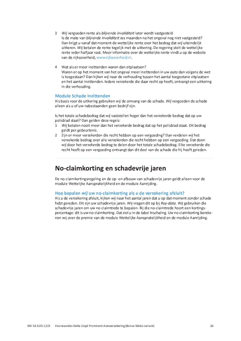- 3 Wij vergoeden rente als blijvende invaliditeit later wordt vastgesteld Is de mate van blijvende invaliditeit zes maanden na het ongeval nog niet vastgesteld? Dan krijgt u vanaf dat moment de wettelijke rente over het bedrag dat wij uiteindelijk uitkeren. Wij betalen de rente tegelijk met de uitkering. De regering stelt de wettelijke rente jeder halfjaar vast. Meer informatie over de wettelijke rente vindt u op de website van de rijksoverheid, www.rijksoverheid.nl.
- 4 Wat als er meer inzittenden waren dan zitplaatsen? Waren er op het moment van het ongeval meer inzittenden in uw auto dan volgens de wet is toegestaan? Dan kijken wij naar de verhouding tussen het aantal toegestane zitplaatsen en het aantal inzittenden. Iedere verzekerde die daar recht op heeft, ontvangt een uitkering in die verhouding.

#### **Module Schade Inzittenden**

Als basis voor de uitkering gebruiken wij de omvang van de schade. Wij vergoeden de schade alleen als u of uw nabestaanden geen bedrijf zijn.

Is het totale schadebedrag dat wij vaststellen hoger dan het verzekerde bedrag dat op uw polisblad staat? Dan gelden deze regels:

- 1 Wij betalen nooit meer dan het verzekerde bedrag dat op het polisblad staat. Dit bedrag geldt per gebeurtenis.
- 2 Zijn er meer verzekerden die recht hebben op een vergoeding? Dan verdelen wij het verzekerde bedrag over alle verzekerden die recht hebben op een vergoeding. Dat doen wij door het verzekerde bedrag te delen door het totale schadebedrag. Elke verzekerde die recht heeft op een vergoeding ontvangt dan dit deel van de schade die hij heeft geleden.

### No-claimkorting en schadevrije jaren

De no-claimkortingsregeling en de op- en afbouw van schadevrije jaren geldt alleen voor de module Wettelijke Aansprakelijkheid en de module Aanrijding.

#### Hoe bepalen wij uw no-claimkorting als u de verzekering afsluit?

Als u de verzekering afsluit, kijken wij naar het aantal jaren dat u op dat moment zonder schade hebt gereden. Dit zijn uw schadevrije jaren. Wij vragen dit op bij Roy-data. Wij gebruiken die schadevrije jaren om uw no-claimtrede te bepalen. Bij die no-claimtrede hoort een kortingspercentage: dit is uw no-claimkorting. Dat ziet u in de tabel Inschaling. Uw no-claimkorting berekenen wij over de premie van de module Wettelijke Aansprakelijkheid en de module Aanrijding.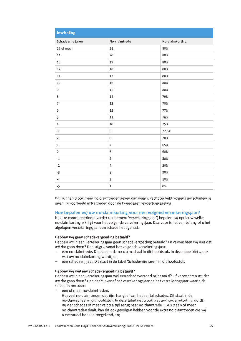| <b>Inschaling</b>         |                |                 |
|---------------------------|----------------|-----------------|
| Schadevrije jaren         | No-claimtrede  | No-claimkorting |
| 15 of meer                | 21             | 80%             |
| 14                        | 20             | 80%             |
| 13                        | 19             | 80%             |
| $12\,$                    | 18             | 80%             |
| 11                        | 17             | 80%             |
| 10                        | 16             | 80%             |
| $\mathsf 9$               | 15             | 80%             |
| 8                         | 14             | 79%             |
| $\boldsymbol{7}$          | 13             | 78%             |
| $\,$ 6 $\,$               | 12             | 77%             |
| 5                         | $11\,$         | 76%             |
| $\overline{4}$            | 10             | 75%             |
| $\ensuremath{\mathsf{3}}$ | $\mathsf 9$    | 72,5%           |
| $\mathbf 2$               | $\,$ 8 $\,$    | 70%             |
| $\mathbf 1$               | $\overline{7}$ | 65%             |
| $\pmb{0}$                 | $\,$ 6 $\,$    | 60%             |
| $^{\rm -1}$               | 5              | 50%             |
| $-2$                      | $\sqrt{4}$     | 30%             |
| $-3$                      | $\mathsf 3$    | 20%             |
| $-4$                      | $\mathbf 2$    | 10%             |
| $-5$                      | $\mathbf 1$    | 0%              |

Wij kunnen u ook meer no-claimtreden geven dan waar u recht op hebt volgens uw schadevrije jaren. Bijvoorbeeld extra treden door de tweedegezinsvoertuigregeling.

#### Hoe bepalen wij uw no-claimkorting voor een volgend verzekeringsjaar?

Na elke contractperiode (verder te noemen: 'verzekeringsjaar') bepalen wij opnieuw welke no-claimkorting u krijgt voor het volgende verzekeringsjaar. Daarvoor is het van belang of u het afgelopen verzekeringsjaar een schade hebt gehad.

#### Hebben wij geen schadevergoeding betaald?

Hebben wij in een verzekeringsjaar geen schadevergoeding betaald? En verwachten wij niet dat wij dat gaan doen? Dan stijgt u vanaf het volgende verzekeringsjaar:

- één no-claimtrede. Dit staat in de no-claimschaal in dit hoofdstuk. In deze tabel ziet u ook wat uw no-claimkorting wordt, en;
- één schadevrij jaar. Dit staat in de tabel 'Schadevrije jaren' in dit hoofdstuk.

#### Hebben wij wel een schadevergoeding betaald?

Hebben wij in een verzekeringsjaar wel een schadevergoeding betaald? Of verwachten wij dat wij dat gaan doen? Dan daalt u vanaf het verzekeringsjaar na het verzekeringsjaar waarin de schade is ontstaan:

- één of meer no-claimtreden.

Hoeveel no-claimtreden dat zijn, hangt af van het aantal schades. Dit staat in de no-claimschaal in dit hoofdstuk. In deze tabel ziet u ook wat uw no-claimkorting wordt. Bij vier schades of meer valt u altijd terug naar no-claimtrede 1. Als u één of meer no-claimtreden daalt, kan dit ook gevolgen hebben voor de extra no-claimtreden die wij u eventueel hebben toegekend, en;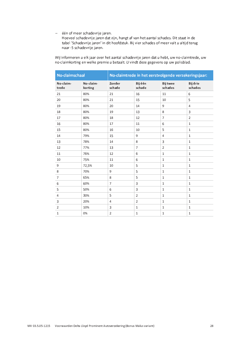- één of meer schadevrije jaren.

Hoeveel schadevrije jaren dat zijn, hangt af van het aantal schades. Dit staat in de tabel 'Schadevrije jaren' in dit hoofdstuk. Bij vier schades of meer valt u altijd terug naar -5 schadevrije jaren.

Wij informeren u elk jaar over het aantal schadevrije jaren dat u hebt, uw no-claimtrede, uw no-claimkorting en welke premie u betaalt. U vindt deze gegevens op uw polisblad.

| No-claimschaal     |                      | No-claimtrede in het eerstvolgende verzekeringsjaar: |                   |                            |                     |
|--------------------|----------------------|------------------------------------------------------|-------------------|----------------------------|---------------------|
| No-claim-<br>trede | No-claim-<br>korting | Zonder<br>schade                                     | Bij één<br>schade | <b>Bij twee</b><br>schades | Bij drie<br>schades |
| 21                 | 80%                  | 21                                                   | 16                | 11                         | 6                   |
| 20                 | 80%                  | 21                                                   | 15                | 10                         | 5                   |
| 19                 | 80%                  | 20                                                   | 14                | 9                          | $\overline{4}$      |
| 18                 | 80%                  | 19                                                   | 13                | 8                          | 3                   |
| 17                 | 80%                  | 18                                                   | 12                | $\overline{7}$             | $\overline{2}$      |
| 16                 | 80%                  | 17                                                   | 11                | 6                          | $1\,$               |
| 15                 | 80%                  | 16                                                   | 10                | 5                          | $\mathbf{1}$        |
| 14                 | 79%                  | 15                                                   | 9                 | $\overline{4}$             | $\mathbf{1}$        |
| 13                 | 78%                  | 14                                                   | 8                 | 3                          | $\mathbf{1}$        |
| 12                 | 77%                  | 13                                                   | $\overline{7}$    | $\overline{2}$             | $\mathbf 1$         |
| 11                 | 76%                  | 12                                                   | 6                 | $1\,$                      | $\mathbf 1$         |
| 10                 | 75%                  | 11                                                   | 6                 | $\mathbf{1}$               | $\mathbf 1$         |
| 9                  | 72,5%                | 10                                                   | 5                 | $\mathbf{1}$               | $\mathbf 1$         |
| 8                  | 70%                  | 9                                                    | 5                 | $\mathbf{1}$               | $\mathbf 1$         |
| $\overline{7}$     | 65%                  | 8                                                    | 5                 | $\mathbf{1}$               | $\mathbf 1$         |
| 6                  | 60%                  | $\overline{7}$                                       | 3                 | $1\,$                      | $\mathbf{1}$        |
| 5                  | 50%                  | 6                                                    | 3                 | $1\,$                      | $\mathbf 1$         |
| 4                  | 30%                  | 5                                                    | $\overline{2}$    | $1\,$                      | $1\,$               |
| 3                  | 20%                  | $\overline{4}$                                       | $\overline{2}$    | $\mathbf{1}$               | $\mathbf{1}$        |
| $\overline{2}$     | 10%                  | 3                                                    | $\mathbf{1}$      | $\mathbf{1}$               | $\mathbf{1}$        |
| $\mathbf{1}$       | 0%                   | $\overline{2}$                                       | $\mathbf 1$       | $\mathbf{1}$               | $\mathbf 1$         |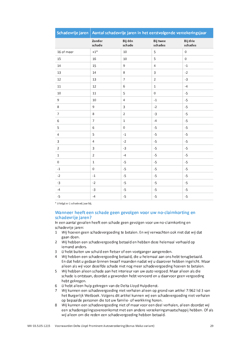| Schadevrije jaren   Aantal schadevrije jaren in het eerstvolgende verzekeringsjaar |                         |                         |                            |                     |
|------------------------------------------------------------------------------------|-------------------------|-------------------------|----------------------------|---------------------|
|                                                                                    | Zonder<br>schade        | Bij één<br>schade       | <b>Bij twee</b><br>schades | Bij drie<br>schades |
| 16 of meer                                                                         | $+1^\ast$               | $10\,$                  | 5                          | $\boldsymbol{0}$    |
| 15                                                                                 | 16                      | 10                      | 5                          | $\mathsf{O}\xspace$ |
| 14                                                                                 | 15                      | 9                       | $\overline{4}$             | $^{\rm -1}$         |
| 13                                                                                 | 14                      | 8                       | 3                          | $-2$                |
| 12                                                                                 | 13                      | $\overline{7}$          | $\overline{2}$             | $-3$                |
| 11                                                                                 | 12                      | $\sqrt{6}$              | $\mathbf{1}$               | $-4$                |
| 10                                                                                 | 11                      | 5                       | $\mathsf 0$                | $-5$                |
| 9                                                                                  | 10                      | $\overline{\mathbf{4}}$ | $^{\text{{\small -1}}}$    | $-5$                |
| $\,8\,$                                                                            | 9                       | $\overline{3}$          | $-2$                       | $-5$                |
| $\overline{7}$                                                                     | 8                       | $\overline{2}$          | $-3$                       | $-5$                |
| $\,6\,$                                                                            | $\overline{7}$          | $\mathbf 1$             | $-4$                       | $-5$                |
| 5                                                                                  | 6                       | $\mathbf 0$             | $-5$                       | $-5$                |
| $\overline{4}$                                                                     | 5                       | $^{\rm -1}$             | $-5$                       | $-5$                |
| $\mathsf{3}$                                                                       | $\overline{\mathbf{4}}$ | $-2$                    | $-5$                       | $-5$                |
| $\overline{2}$                                                                     | $\overline{3}$          | $-3$                    | $-5$                       | $-5$                |
| $\mathbf 1$                                                                        | $\mathbf 2$             | $-4$                    | $-5$                       | $-5$                |
| $\mathbf 0$                                                                        | $\mathbf{1}$            | $-5$                    | $-5$                       | $-5$                |
| $^{\rm -1}$                                                                        | $\mathsf{O}\xspace$     | $-5$                    | $-5$                       | $-5$                |
| $\mathbf{-2}$                                                                      | $^{\rm -1}$             | $-5$                    | $-5$                       | $-5$                |
| $-3$                                                                               | $-2$                    | $-5$                    | $-5$                       | $-5$                |
| $-4$                                                                               | $-3$                    | $-5$                    | $-5$                       | $-5$                |
| $-5$                                                                               | $-4$                    | $-5$                    | $-5$                       | $-5$                |

\* U krijgt er 1 schadevrij jaar bij.

#### Wanneer heeft een schade geen gevolgen voor uw no-claimkorting en schadevrije jaren?

In een aantal gevallen heeft een schade geen gevolgen voor uw no-claimkorting en schadevrije jaren:

- 1 Wij hoeven geen schadevergoeding te betalen. En wij verwachten ook niet dat wij dat gaan doen.
- 2 Wij hebben een schadevergoeding betaald en hebben deze helemaal verhaald op iemand anders.
- 3 U hebt buiten uw schuld een fietser of een voetganger aangereden.
- 4 Wij hebben een schadevergoeding betaald, die u helemaal aan ons hebt terugbetaald. En dat hebt u gedaan binnen twaalf maanden nadat wij u daarover hebben ingelicht. Maar alleen als wij voor dezelfde schade niet nog meer schadevergoeding hoeven te betalen.
- 5 Wij hebben alleen schade aan het interieur van uw auto vergoed. Maar alleen als die schade is ontstaan, doordat u gewonden hebt vervoerd en u daarvoor geen vergoeding hebt gekregen.
- 6 U hebt alleen hulp gekregen van de Delta Lloyd Hulpdienst.
- 7 Wij kunnen een schadevergoeding niet verhalen alleen op grond van artikel 7:962 lid 3 van het Burgerlijk Wetboek. Volgens dit artikel kunnen wij een schadevergoeding niet verhalen op bepaalde personen die tot uw familie- of werkkring horen.
- 8 Wij kunnen een schadevergoeding niet of maar voor een deel verhalen, alleen doordat wij een schaderegelingsovereenkomst met een andere verzekeringsmaatschappij hebben. Of als wij alleen om die reden een schadevergoeding hebben betaald.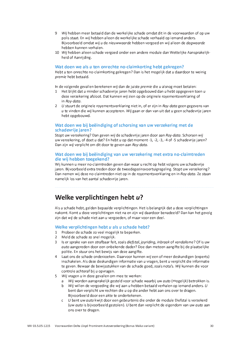- 9 Wij hebben meer betaald dan de werkelijke schade omdat dit in de voorwaarden of op uw polis staat. En wij hebben alleen de werkelijke schade verhaald op iemand anders. Bijvoorbeeld omdat wij u de nieuwwaarde hebben vergoed en wij alleen de daawaarde hebben kunnen verhalen.
- 10 Wij hebben alleen schade vergoed onder een andere module dan Wettelijke Aansprakelijkheid of Aanrijding.

#### Wat doen we als u ten onrechte no-claimkorting hebt gekregen?

Hebt u ten onrechte no-claimkorting gekregen? Dan is het mogelijk dat u daardoor te weinig premie hebt betaald.

In de volgende gevallen berekenen wij dan de juiste premie die u alsnog moet betalen:

- 1 Het blijkt dat u minder schadevrije jaren hebt opgebouwd dan u hebt opgegeven toen u deze verzekering afsloot. Dat kunnen wij zien op de originele royementsverklaring of in Rov-data.
- 2 U stuurt de originele royementsverklaring niet in, of er zijn in Roy-data geen gegevens van u te vinden die wij kunnen accepteren. Wij gaan er dan van uit dat u geen schadevrije jaren hebt opgebouwd.

#### Wat doen we bij beëindiging of schorsing van uw verzekering met de schadevrije jaren?

Stopt uw verzekering? Dan geven wij de schadevrije jaren door aan Roy-data. Schorsen wij uw verzekering, of doet u dat? En hebt u op dat moment -1, -2, -3, -4 of -5 schadevrije jaren? Dan zijn wij verplicht om dit door te geven aan Roy-data.

#### Wat doen we bij beëindiging van uw verzekering met extra no-claimtreden die wij hebben toegekend?

Wij kunnen u meer no-claimtreden geven dan waar u recht op hebt volgens uw schadevrije jaren. Bijvoorbeeld extra treden door de tweedegezinsvoertuigregeling. Stopt uw verzekering? Dan nemen wij deze no-claimtreden niet op in de royementsverklaring en in Roy-data. Ze staan namelijk los van het aantal schadevrije jaren.

### Welke verplichtingen hebt u?

Als u schade hebt, gelden bepaalde verplichtingen. Het is belangrijk dat u deze verplichtingen nakomt. Komt u deze verplichtingen niet na en zijn wij daardoor benadeeld? Dan kan het gevolg zijn dat wij de schade niet aan u vergoeden, of maar voor een deel.

#### Welke verplichtingen hebt u als u schade hebt?

- 1 Probeer de schade zo veel mogelijk te beperken.
- 2 Meld de schade zo snel mogelijk.
- 3 Is er sprake van een strafbaar feit, zoals *diefstal, jovriding, inbraak* of vandalisme? Of is uw *auto* aangereden door een onbekende dader? Doe dan meteen aangifte bij de plaatselijke politie. En stuur ons het bewijs van deze aangifte.
- 4 Laat ons de schade onderzoeken. Daarvoor kunnen wij een of meer deskundigen (experts) inschakelen. Als deze deskundigen informatie van u vragen, bent u verplicht die informatie te geven. Bewaar de bewijsstukken van de schade goed, zoals nota's. Wij kunnen die voor controle achteraf bij u opvragen.
- 5 Wij vragen u in deze gevallen om mee te werken:
	- a Wij worden aansprakelijk gesteld voor schade waarbij uw auto (mogelijk) betrokken is.
	- b Wij willen de vergoeding die wij aan u hebben betaald verhalen op iemand anders. U bent dan verplicht uw rechten die u op die ander hebt aan ons over te dragen. Bijvoorbeeld door een akte te ondertekenen.
	- c U bent uw *auto* kwiit door een *aebeurtenis* die onder de module Diefstal is verzekerd (uw auto is bijvoorbeeld gestolen). U bent dan verplicht de eigendom van uw auto aan ons over te dragen.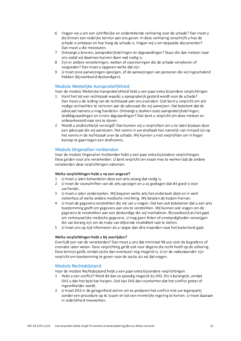- 6 Vragen wij u om een schriftelijke en ondertekende verklaring over de schade? Dan moet u die binnen een redelijke termijn aan ons geven. In deze verklaring omschrijft u hoe de schade is ontstaan en hoe hoog de schade is. Vragen wij u om bepaalde documenten? Dan moet u die meesturen.
- 7 Ontvangt u brieven, aansprakelijkstellingen en dagvaardingen? Stuur die dan meteen naar ons zodat wij daarmee kunnen doen wat nodig is.
- 8 Zijn er andere verzekeringen, wetten of voorzieningen die de schade verzekeren of vergoeden? Dan moet u opgeven welke dat zijn.
- 9 U moet onze aanwijzingen opvolgen, of de aanwijzingen van personen die wij ingeschakeld hebben (bijvoorbeeld deskundigen).

#### Module Wettelijke Aansprakelijkheid

Voor de module Wettelijke Aansprakelijkheid hebt u een paar extra bijzondere verplichtingen.

- 1 Komt het tot een rechtszaak waarbij u aansprakelijk gesteld wordt voor de schade? Dan moet u de leiding van de rechtszaak aan ons overlaten. Ook bent u verplicht om alle nodige volmachten te verlenen aan de advocaat die wij aanwijzen. Dat betekent dat de advocaat namens u mag handelen. Ontvangt u stukken zoals aansprakelijkstellingen, strafdagvaardingen en civiele dagvaardingen? Dan bent u verplicht om deze meteen en onbeantwoord naar ons te sturen.
- 2 Wordt u strafrechtelijk vervolgd? Dan kunnen wij u verplichten om u te laten bijstaan door een advocaat die wij aanwijzen. Het vonnis in uw strafzaak kan namelijk van invloed zijn op het vonnis in de rechtszaak over de schade. Wij kunnen u niet verplichten om in hoger beroep te gaan tegen een strafvonnis.

#### **Module Ongevallen Inzittenden**

Voor de module Ongevallen Inzittenden hebt u een paar extra bijzondere verplichtingen. Deze gelden voor alle verzekerden. U bent verplicht om eraan mee te werken dat de andere verzekerden deze verplichtingen nakomen.

#### Welke verplichtingen hebt u na een ongeval?

- 1 U moet u laten behandelen door een arts zolang dat nodig is.
- 2 U moet de voorschriften van de arts opvolgen en u zo gedragen dat dit goed is voor uw herstel.
- 3 U moet u laten onderzoeken. Wij bepalen welke arts het onderzoek doet en in welk ziekenhuis of welke andere medische inrichting. Wij betalen de kosten hiervan.
- 4 U moet de gegevens verstrekken die wij van u vragen. Dat kan ook betekenen dat u een arts toestemming geeft om gegevens aan ons te verstrekken. Wij kunnen ook vragen om de gegevens te verstrekken aan een deskundige die wij inschakelen. Bijvoorbeeld als het gaat om vertrouwelijke medische gegevens. U mag geen feiten of omstandigheden verzwijgen die van belang zijn om de mate van blijvende invaliditeit vast te stellen.
- 5 U moet ons op tijd informeren als u langer dan drie maanden naar het buitenland gaat.

#### Welke verplichtingen hebt u bij overlijden?

Overlijdt een van de verzekerden? Dan moet u ons dat minimaal 48 uur vóór de begrafenis of crematie laten weten. Deze verplichting geldt ook voor degene die recht heeft op de uitkering. Deze termijn geldt, omdat sectie dan eventueel nog mogelijk is. U en de nabestaanden zijn verplicht om toestemming te geven voor de sectie als wij dat vragen.

#### **Module Rechtsbijstand**

Voor de module Rechtsbijstand hebt u een paar extra bijzondere verplichtingen.

- 1 Hebt u een conflict? Meld dit dan zo spoedig mogelijk bij DAS. Dit is belangrijk, omdat DAS u dan het best kan helpen. Ook kan DAS dan voorkomen dat het conflict groter of ingewikkelder wordt.
- 2 U moet DAS in de gelegenheid stellen om te proberen het conflict met uw tegenpartij zonder een procedure op te lossen en tot een minnelijke regeling te komen. U moet daaraan in redelijkheid meewerken.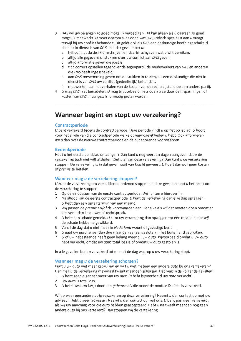- 3 DAS wil uw belangen zo goed mogelijk verdedigen. Dit kan alleen als u daaraan zo goed mogelijk meewerkt. U moet daarom alles doen wat uw juridisch specialist aan u vraagt terwijl hij uw conflict behandelt. Dit geldt ook als DAS een deskundige heeft ingeschakeld die niet in dienst is van DAS. In jeder geval moet u:
	- a het conflict duidelijk omschrijven en daarbij aangeven wat u wilt bereiken:
	- b altijd alle gegevens of stukken over uw conflict aan DAS geven;
	- c altijd informatie geven die juist is;
	- d zich correct opstellen tegenover de tegenpartij, de medewerkers van DAS en anderen die DAS heeft ingeschakeld;
	- e aan DAS toestemming geven om de stukken in te zien, als een deskundige die niet in dienst is van DAS uw conflict (gedeeltelijk) behandelt;
	- $f$ meewerken aan het verhalen van de kosten van de rechtsbijstand op een andere partij.
- 4 U mag DAS niet benadelen. U mag bijvoorbeeld niets doen waardoor de inspanningen of kosten van DAS in uw geschil onnodig groter worden.

### Wanneer begint en stopt uw verzekering?

#### **Contractperiode**

U bent verzekerd tijdens de contractperiode. Deze periode vindt u op het polisblad. U hoort voor het einde van die contractperiode welke opzegmogelijkheden u hebt. Ook informeren wij u dan over de nieuwe contractperiode en de bijbehorende voorwaarden.

#### **Bedenkperiode**

Hebt u het eerste polisblad ontvangen? Dan kunt u nog veertien dagen aangeven dat u de verzekering toch niet wilt afsluiten. Ziet u af van deze verzekering? Dan kunt u de verzekering stoppen. De verzekering is in dat geval nooit van kracht geweest. U hoeft dan ook geen kosten of *premie* te betalen.

#### Wanneer mag u de verzekering stoppen?

U kunt de verzekering om verschillende redenen stoppen. In deze gevallen hebt u het recht om de verzekering te stoppen:

- 1 Op de einddatum van de eerste contractperiode. Wij lichten u hierover in.
- 2 Na afloop van de eerste contractperiode. U kunt de verzekering dan elke dag opzeggen. U hebt dan een opzegtermijn van een maand.
- 3 Wij passen de premie en/of de voorwaarden aan. Behalve als wij dat moeten doen omdat er jets verandert in de wet of rechtspraak.
- 4 U hebt een schade gemeld. U kunt uw verzekering dan opzeggen tot één maand nadat wij de schade hebben afgewikkeld.
- 5 Vanaf de dag dat u niet meer in Nederland woont of gevestigd bent.
- 6 U gaat uw auto langer dan drie maanden aaneengesloten in het buitenland gebruiken.
- 7 U of uw nabestaande heeft geen belang meer bij uw auto. Bijvoorbeeld omdat u uw auto hebt verkocht, omdat uw *quto* total loss is of omdat uw *quto* gestolen is.

In alle gevallen bent u verzekerd tot en met de dag waarop u uw verzekering stopt.

#### Wanneer mag u de verzekering schorsen?

Kunt u uw auto niet meer gebruiken en wilt u niet meteen een andere auto bij ons verzekeren? Dan mag u de verzekering maximaal twaalf maanden schorsen. Dat mag in de volgende gevallen:

- 1 U bent geen eigenaar meer van uw auto (u hebt bijvoorbeeld uw auto verkocht).
- 2 Uw auto is total loss.
- 3 U bent uw auto kwijt door een gebeurtenis die onder de module Diefstal is verzekerd.

Wilt u weer een andere *quto* verzekeren op deze verzekering? Neemt u dan contact op met uw adviseur. Hebt u geen adviseur? Neemt u dan contact op met ons. U bent pas weer verzekerd, als wij uw aanvraag voor die auto hebben geaccepteerd. Hebt u na twaalf maanden nog geen andere auto bij ons verzekerd? Dan stoppen wij de verzekering.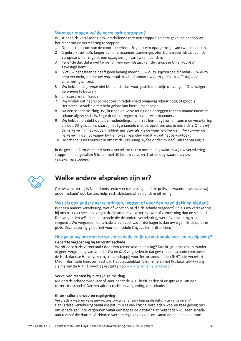#### Wanneer mogen wij de verzekering stoppen?

Wij kunnen de verzekering om verschillende redenen stoppen. In deze gevallen hebben wij het recht om de verzekering te stoppen:

- 1 Op de einddatum van de contractperiode. Er geldt een opzegtermijn van twee maanden.
- 2 U gebruikt uw *auto* langer dan drie maanden aaneengesloten buiten een lidstaat van de Europese Unie. Er geldt een opzegtermijn van twee maanden.
- 3 Vanaf de dag dat u niet langer binnen een lidstaat van de Europese Unie woont of gevestigd bent.
- 4 U of uw nabestaande heeft geen belang meer bij uw auto. Bijvoorbeeld omdat u uw auto hebt verkocht, omdat uw auto total loss is of omdat uw auto gestolen is. Tenzij u de verzekering schorst.
- 5 Wij hebben de premie niet binnen de daarvoor gestelde termijn ontvangen. Of u weigert de *premie* te betalen.
- 6 Er is sprake van fraude.
- 7 Wij vinden dat het risico voor ons in redelijkheid onaanvaardbaar hoog of groot is. Het aantal schades dat u hebt gehad kan hierbij meespelen.
- 8 Na een schademelding. Wij kunnen de verzekering dan opzeggen tot één maand nadat de schade afgewikkeld is. Er geldt een opzegtermijn van twee maanden.
- 9 Wij hebben ontdekt dat u de mededelingsplicht niet bent nagekomen toen u de verzekering afsloot. Dit geldt als u daarbij hebt gehandeld met de opzet om ons te misleiden. Of als wij de verzekering niet zouden hebben gesloten als wij de waarheid kenden. Wij kunnen de verzekering dan opzeggen binnen twee maanden nadat wij dit hebben ontdekt.
- 10 De schade is niet verzekerd omdat de uitsluiting 'rijden onder invloed' van toepassing is.

In de gevallen 1 tot en met 4 bent u verzekerd tot en met de dag waarop wij uw verzekering stoppen. In de gevallen 5 tot en met 10 bent u verzekerd tot de dag waarop wij uw verzekering stoppen.



### Welke andere afspraken zijn er?

Op uw verzekering is Nederlands recht van toepassing. In deze polisvoorwaarden verstaan wij onder 'schade' ook kosten, hulp, rechtsbijstand of een andere uitkering.

#### Wat als ook andere verzekeringen, wetten of voorzieningen dekking bieden?

Is er een andere verzekering, wet of voorziening die de schade vergoedt? En als uw verzekering bij ons niet zou bestaan, vergoedt die andere verzekering, wet of voorziening dan de schade? Dan vergoeden wij alleen de schade die de andere verzekering, wet of voorziening niet vergoedt. Wij vergoeden de schade alleen voor zover die hoger is dan uw eigen risico op deze polis. Deze bepaling geldt niet voor de module Ongevallen Inzittenden.

#### Hoe gaan wij om met terrorismeschade en (inter)nationale wet- en regelgeving? Beperkte vergoeding bij terrorismeschade

Wordt de schade veroorzaakt door een terroristische aanslag? Dan krijgt u misschien minder of geen vergoeding van schade. Wij en DAS vergoeden in dat geval alleen schade voor zover de Nederlandse Herverzekeringsmaatschappij voor Terrorismeschaden (NHT) die verzekert. Meer informatie hierover leest u in het clausuleblad Terrorisme en het Protocol afwikkeling claims van de NHT. U vindt deze stukken op www.terrorismeverzekerd.nl.

#### Verval van rechten bij niet-tijdige melding

Meldt u de schade twee jaar of later nadat de NHT heeft beslist of er sprake is van een terrorismeschade? Dan vervalt elk recht op vergoeding van schade.

#### (Inter)nationale wet- en regelgeving

Verbieden wet- en regelgeving ons om u vanaf een bepaalde datum te verzekeren? Dan is deze verzekering vanaf die datum niet van kracht. Verbieden wet- en regelgeving ons om schade aan u te vergoeden vanaf een bepaalde datum? Dan vergoeden wij geen schade aan u vanaf die datum. Verbieden wet- en regelgeving ons om vanaf een bepaalde datum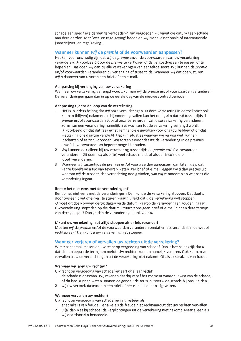schade aan specifieke derden te vergoeden? Dan vergoeden wij vanaf die datum geen schade aan deze derden. Met 'wet- en regelgeving' bedoelen wij hier alle nationale of internationale (sanctie) wet- en regelgeving.

#### Wanneer kunnen wij de premie of de voorwaarden aanpassen?

Het kan voor ons nodig zijn dat wij de premie en/of de voorwaarden van uw verzekering veranderen. Bijvoorbeeld door de *premie* te verhogen of de vergoeding aan te passen of te beperken. Dat doen wij dan bij alle verzekeringen van eenzelfde soort. Wij kunnen de premie en/of voorwaarden veranderen bij verlenging of tussentijds. Wanneer wij dat doen, sturen wij u daarover van tevoren een brief of een e-mail.

#### Aanpassing bij verlenging van uw verzekering

Wanneer uw verzekering verlengd wordt, kunnen wij de premie en/of voorwaarden veranderen. De veranderingen gaan dan in op de eerste dag van de nieuwe contractperiode.

#### Aanpassing tijdens de loop van de verzekering

- 1 Het is in ieders belang dat wij onze verplichtingen uit deze verzekering in de toekomst ook kunnen (blijven) nakomen. In bijzondere gevallen kan het nodig zijn dat wij tussentijds de premie en/of voorwaarden voor al onze verzekerden van deze verzekering veranderen. Soms kan een verandering namelijk niet wachten tot de verzekering verlengd wordt. Bijvoorbeeld omdat dat zeer ernstige financiële gevolgen voor ons zou hebben of omdat wetgeving ons daartoe verplicht. Dat zijn situaties waarvan wij nu nog niet kunnen inschatten of ze zich voordoen. Wij zorgen ervoor dat wij de verandering in de premies en/of de voorwaarden zo beperkt mogelijk houden.
- 2 Wij kunnen ook alleen bij uw verzekering tussentijds de premie en/of voorwaarden veranderen. Dit doen wij als u (te) veel schade meldt of als de risico's die u loopt, veranderen.
- 3 Wanneer wij tussentijds de premies en/of voorwaarden aanpassen, dan laten wij u dat vanzelfsprekend altijd van tevoren weten. Per brief of e-mail leggen wij u dan precies uit waarom wij de tussentijdse verandering nodig vinden, wat wij veranderen en wanneer die verandering ingaat.

#### Bent u het niet eens met de veranderingen?

Bent u het niet eens met de veranderingen? Dan kunt u de verzekering stoppen. Dat doet u door ons een brief of e-mail te sturen waarin u zegt dat u de verzekering wilt stoppen. U moet dit doen binnen dertig dagen na de datum waarop de veranderingen zouden ingaan. Uw verzekering stopt dan op die datum. Stuurt u ons geen brief of e-mail binnen deze termijn van dertig dagen? Dan gelden de veranderingen ook voor u.

#### U kunt uw verzekering niet altijd stoppen als er iets verandert

Moeten wij de premie en/of de voorwaarden veranderen omdat er iets verandert in de wet of rechtspraak? Dan kunt u uw verzekering niet stoppen.

#### Wanneer verjaren of vervallen uw rechten uit de verzekering?

Wilt u aanspraak maken op uw recht op vergoeding van schade? Dan is het belangrijk dat u dat binnen bepaalde termijnen meldt. Uw rechten kunnen namelijk verjaren. Ook kunnen ze vervallen als u de verplichtingen uit de verzekering niet nakomt. Of als er sprake is van fraude.

#### Wanneer verjaren uw rechten?

Uw recht op vergoeding van schade verjaart drie jaar nadat:

- 1 de schade is ontstaan. Wij rekenen daarbij vanaf het moment waarop u wist van de schade, of dit had kunnen weten. Binnen de genoemde termijn moet u de schade bij ons melden.
- 2 wij uw verzoek daarvoor in een brief of per e-mail hebben afgewezen.

#### Wanneer vervallen uw rechten?

Uw recht op vergoeding van schade vervalt meteen als:

- 1 er sprake is van fraude. Behalve als de fraude niet rechtvaardigt dat uw rechten vervallen.
- 2 u (al dan niet bij schade) de verplichtingen uit de verzekering niet nakomt. Maar alleen als wij daardoor zijn benadeeld.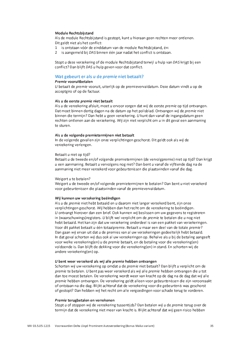#### **Module Rechtsbiistand**

Als de module Rechtsbijstand is gestopt, kunt u hieraan geen rechten meer ontlenen. Dit geldt niet als het conflict:

- 1 is ontstaan vóór de einddatum van de module Rechtsbijstand, én:
- 2 is aangemeld bij DAS binnen één jaar nadat het conflict is ontstaan.

Stopt u deze verzekering of de module Rechtsbijstand terwijl u hulp van DAS krijgt bij een conflict? Dan blijft DAS u hulp geven voor dat conflict.

#### Wat gebeurt er als u de premie niet betaalt?

#### Premie vooruitbetalen

U betaalt de premie vooruit, uiterlijk op de premievervaldatum. Deze datum vindt u op de acceptgiro of op de factuur.

#### Als u de eerste *premie* niet betaalt

Als u de verzekering afsluit, moet u ervoor zorgen dat wij de eerste premie op tijd ontvangen. Dat moet binnen dertig dagen na de datum op het polisblad. Ontvangen wij de premie niet binnen die termijn? Dan hebt u geen verzekering. U kunt dan vanaf de ingangsdatum geen rechten ontlenen aan de verzekering. Wij zijn niet verplicht om u in dit geval een aanmaning te sturen.

#### Als u de volgende premietermijnen niet betaalt

In de volgende gevallen zijn onze verplichtingen geschorst. Dit geldt ook als wij de verzekering verlengen.

#### Betaalt u niet op tiid?

Betaalt u de tweede en/of volgende premietermijnen (de vervolgpremie) niet op tijd? Dan krijgt u een aanmaning. Betaalt u vervolgens nog niet? Dan bent u vanaf de vijftiende dag na de aanmaning niet meer verzekerd voor gebeurtenissen die plaatsvinden vanaf die dag.

#### Weigert u te betalen?

Weigert u de tweede en/of volgende premietermijnen te betalen? Dan bent u niet verzekerd voor gebeurtenissen die plaatsvinden vanaf de premievervaldatum.

#### Wij kunnen uw verzekering beëindigen

Als u de premie niet hebt betaald en u daarom niet langer verzekerd bent, zijn onze verplichtingen geschorst. Wij hebben dan het recht om de verzekering te beëindigen. U ontvangt hierover dan een brief. Ook kunnen wij beslissen om uw gegevens te registreren in (waarschuwings) registers. U blijft wel verplicht om de premie te betalen die u nog niet hebt betaald. Het kan zijn dat uw verzekering onderdeel is van een pakket van verzekeringen. Voor dit pakket betaalt u één totaalpremie. Betaalt u maar een deel van de totale premie? Dan gaan wij ervan uit dat u de premies van al uw verzekeringen gedeeltelijk hebt betaald. In dat geval schorten wij dus ook al uw verzekeringen op. Behalve als u bij de betaling aangeeft voor welke verzekering(en) u de *premie* betaalt, en de betaling voor die verzekering(en) voldoende is. Dan blijft de dekking voor die verzekering(en) in stand. En schorten wij de andere verzekering(en) op.

#### U bent weer verzekerd als wij alle premie hebben ontvangen

Schorten wij uw verzekering op omdat u de premie niet betaalt? Dan blijft u verplicht om de premie te betalen. U bent pas weer verzekerd als wij alle premie hebben ontvangen die u tot dan toe moest betalen. De verzekering wordt weer van kracht op de dag na de dag dat wij alle premie hebben ontvangen. De verzekering geldt alleen voor gebeurtenissen die zijn veroorzaakt of ontstaan na die dag. Blijkt achteraf dat de verzekering voor die gebeurtenis was geschorst of gestopt? Dan hebben wij het recht om alle vergoedingen voor schade terug te vorderen.

#### Premie terugbetalen en verrekenen

Stopt u of stoppen wij de verzekering tussentijds? Dan betalen wij u de premie terug over de termijn dat de verzekering niet meer van kracht is. Blijkt achteraf dat wij geen risico hebben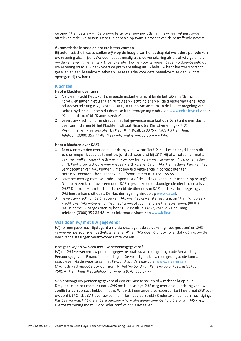gelopen? Dan betalen wij de premie terug over een periode van maximaal vijf jaar, onder aftrek van redelijke kosten. Deze zijn bepaald op twintig procent van de betreffende premie.

#### Automatische incasso en andere betaalvormen

Bij automatische incasso stellen wij u op de hoogte van het bedrag dat wij jedere periode van uw rekening afschrijven. Wij doen dat eenmalig als u de verzekering afsluit of wijzigt, en als wij de verzekering verlengen. U bent verplicht om ervoor te zorgen dat er voldoende geld op uw rekening staat. Uw bank voert de premiebetaling uit. U hebt uw bank hiertoe opdracht gegeven en een betaalvorm gekozen. De regels die voor deze betaalvorm gelden, kunt u opvragen bij uw bank.

#### **Klachten**

#### Hebt u klachten over ons?

- 1 Als u een klacht hebt, kunt u in eerste instantie terecht bij de betrokken afdeling. Komt u er samen niet uit? Dan kunt u een klacht indienen bij de directie van Delta Lloyd Schadeverzekering N.V., Postbus 1000, 1000 BA Amsterdam. In de klachtenregeling van Delta Lloyd leest u, hoe u dit doet. De klachtenregeling vindt u op www.deltalloyd.nl onder 'Klacht indienen' bij 'Klantenservice'.
- 2 Levert uw klacht bij onze directie niet het gewenste resultaat op? Dan kunt u een klacht over ons indienen bij het Klachteninstituut Financiële Dienstverlening (KIFID). Wij zijn namelijk aangesloten bij het KIFID: Postbus 93257, 2509 AG Den Haag. Telefoon (0900) 355 22 48. Meer informatie vindt u op www.kifid.nl.

#### Hebt u klachten over DAS?

- 1 Bent u ontevreden over de behandeling van uw conflict? Dan is het belangrijk dat u dit zo snel mogelijk bespreekt met uw juridisch specialist bij DAS. Hij of zij zal samen met u bekijken welke mogelijkheden er zijn om uw bezwaren weg te nemen. Als u ontevreden blijft, kunt u contact opnemen met een leidinggevende bij DAS. De medewerkers van het Servicecenter van DAS kunnen u met een leidinggevende in contact brengen. Het Servicecenter is bereikbaar via telefoonnummer (020) 651 88 88.
- 2 Leidt het overleg met uw juridisch specialist of de leidinggevende niet tot een oplossing? Of hebt u een klacht over een door DAS ingeschakelde deskundige die niet in dienst is van DAS? Dan kunt u een klacht indienen bij de directie van DAS. In de klachtenregeling van DAS leest u hoe u dit doet. De klachtenregeling vindt u op www.das.nl.
- 3 Levert uw klacht bij de directie van DAS niet het gewenste resultaat op? Dan kunt u een klacht over DAS indienen bij het Klachteninstituut Financiële Dienstverlening (KIFID). DAS is namelijk aangesloten bij het KIFID: Postbus 93257, 2509 AG Den Haag. Telefoon (0900) 355 22 48. Meer informatie vindt u op www.kifid.nl.

#### Wat doen wij met uw gegevens?

Wij (of een gevolmachtigd agent als u via deze agent de verzekering hebt gesloten) en DAS verwerken persoons- en bedrijfsgegevens. Wij en DAS doen dit voor zover dat nodig is om de bedrijfsdoelstellingen verantwoord uit te voeren.

#### Hoe gaan wij en DAS om met uw persoonsgegevens?

Wij en DAS verwerken uw persoonsgegevens zoals staat in de gedragscode Verwerking Persoonsgegevens Financiële Instellingen. De volledige tekst van de gedragscode kunt u raadplegen via de website van het Verbond van Verzekeraars, www.verzekeraars.nl. U kunt de gedragscode ook opvragen bij het Verbond van Verzekeraars, Postbus 93450, 2509 AL Den Haag. Het telefoonnummer is (070) 333 87 77.

DAS ontvangt uw persoonsgegevens alleen om vast te stellen of u recht hebt op hulp. Dit gebeurt op het moment dat u DAS om hulp vraagt. DAS mag over de afhandeling van uw conflict alleen contact hebben met u. Wilt u dat een andere persoon contact heeft met DAS over uw conflict? Of dat DAS over uw conflict informatie verstrekt? Onderteken dan een machtiging. Pas daarna mag DAS die andere persoon informatie geven over de hulp die u van DAS krijgt. Die toestemming moet u voor ieder conflict opnieuw geven.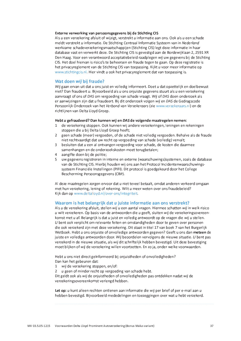#### Externe verwerking van persoonsgegevens bij de Stichting CIS

Als u een verzekering afsluit of wijzigt, verstrekt u informatie aan ons. Ook als u een schade meldt verstrekt u informatie. De Stichting Centraal Informatie Systeem van in Nederland werkzame schadeverzekeringsmaatschappijen (Stichting CIS) legt deze informatie in haar database vast en verwerkt deze. De Stichting CIS is gevestigd aan de Bordewijklaan 2, 2591 XR Den Haag. Voor een verantwoord acceptatiebeleid raadplegen wij uw gegevens bij de Stichting CIS. Het doel hiervan is risico's te beheersen en fraude tegen te gaan. Op deze registratie is het privacyreglement van de Stichting CIS van toepassing. Kijkt u voor meer informatie op www.stichtingcis.nl. Hier vindt u ook het privacyreglement dat van toepassing is.

#### Wat doen wij bij fraude?

Wij gaan ervan uit dat u ons juist en volledig informeert. Doet u dat opzettelijk en doelbewust niet? Dan fraudeert u. Bijvoorbeeld als u ons onjuiste gegevens stuurt als u een verzekering aanvraagt of ons of DAS om vergoeding van schade vraagt. Wij of DAS doen onderzoek als er aanwijzingen zijn dat u fraudeert. Bij dit onderzoek volgen wij en DAS de Gedragscode Persoonlijk Onderzoek van het Verbond van Verzekeraars (zie www.verzekeraars.nl) en de richtlijnen van Delta Lloyd Groep.

#### Hebt u gefraudeerd? Dan kunnen wij en DAS de volgende maatregelen nemen:

- 1 de verzekering stoppen. Ook kunnen wij andere verzekeringen, leningen en rekeningen stoppen die u bij Delta Lloyd Groep heeft;
- 2 geen schade (meer) vergoeden, of de schade niet volledig vergoeden. Behalve als de fraude niet rechtvaardigt dat uw recht op vergoeding van schade (volledig) vervalt;
- 3 besluiten dat u een al ontvangen vergoeding voor schade, de kosten die daarmee samenhangen en de onderzoekskosten moet terugbetalen:
- 4 aangifte doen bij de politie:
- 5 uw gegevens registreren in interne en externe (waarschuwings) systemen, zoals de database van de Stichting CIS. Hierbij houden wij ons aan het Protocol Incidentenwaarschuwingssysteem Financiële Instellingen (PIFI). Dit protocol is goedgekeurd door het College Bescherming Persoonsgegevens (CBP).

Al deze maatregelen zorgen ervoor dat u niet teveel betaalt, omdat anderen verkeerd omgaan met hun verzekering, lening of rekening. Wilt u meer weten over ons fraudebeleid? Kijk dan op www.deltallovd.nl/over-ons/integriteit.

#### Waarom is het belangrijk dat u juiste informatie aan ons verstrekt?

Als u de verzekering afsluit, stellen wij u een aantal vragen. Hiermee schatten wij in welk risico u wilt verzekeren. Op basis van de antwoorden die u geeft, sluiten wij de verzekeringsovereenkomst met u af. Belangrijk is dat u juist en volledig antwoordt op de vragen die wij u stellen. U bent ook verplicht om relevante feiten en omstandigheden door te geven over personen die ook verzekerd zijn met deze verzekering. Dit staat in titel 17 van boek 7 van het Burgerlijk Wetboek. Hebt u ons onjuiste of onvolledige antwoorden gegeven? Geeft u ons dan meteen de juiste en volledige antwoorden door. Wij beoordelen vervolgens de nieuwe situatie. U bent pas verzekerd in de nieuwe situatie, als wij dit schriftelijk hebben bevestigd. Uit deze bevestiging moet blijken of wij de verzekering willen voortzetten. En zo ja, onder welke voorwaarden.

Hebt u ons niet direct geïnformeerd bij onjuistheden of onvolledigheden? Dan kan het gebeuren dat:

- 1 wij de verzekering stoppen, en/of:
- 2 u geen of minder recht op vergoeding van schade hebt.

Dit geldt ook als wij de onjuistheden of onvolledigheden pas ontdekken nadat wij de verzekeringsovereenkomst verlengd hebben.

Let op: u kunt alleen rechten ontlenen aan informatie die wij per brief of per e-mail aan u hebben bevestigd. Bijvoorbeeld mededelingen en toezeggingen over wat u hebt verzekerd.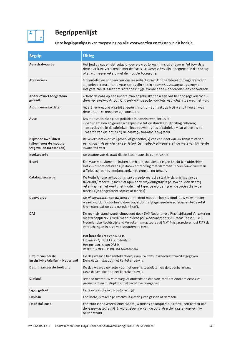

## **Begrippenlijst**

Deze begrippenlijst is van toepassing op alle voorwaarden en teksten in dit boekje.

| <b>Begrip</b>                                                                      | <b>Uitleg</b>                                                                                                                                                                                                                                                                                                                                                               |
|------------------------------------------------------------------------------------|-----------------------------------------------------------------------------------------------------------------------------------------------------------------------------------------------------------------------------------------------------------------------------------------------------------------------------------------------------------------------------|
| Aanschafwaarde                                                                     | Het bedrag dat u hebt betaald toen u uw auto kocht, inclusief bpm en/of btw als u<br>deze niet kunt verrekenen met de fiscus. De accessoires zijn inbegrepen in dit bedrag<br>of apart meeverzekerd met de module Accessoires.                                                                                                                                              |
| <b>Accessoires</b>                                                                 | Onderdelen en voorwerpen van uw <i>auto</i> die niet door de fabriek zijn ingebouwd of<br>aangebracht maar later. Accessoires zijn niet in de cataloguswaarde opgenomen.<br>Het gaat hier dus niet om 'af fabriek' bijgeleverde opties, onderdelen en voorwerpen.                                                                                                           |
| Ander of niet-toegestaan<br>gebruik                                                | U hebt de auto op een andere manier gebruikt dan u aan ons hebt opgegeven toen u<br>deze verzekering afsloot. Of u gebruikt de auto voor iets wat volgens de wet niet mag.                                                                                                                                                                                                  |
| Atoomkernreactie(s)                                                                | ledere kernreactie waarbij energie vrijkomt. Het maakt daarbij niet uit hoe en waar<br>deze atoomkernreacties zijn ontstaan.                                                                                                                                                                                                                                                |
| Auto                                                                               | Uw auto zoals die op het polisblad is omschreven, inclusief:<br>- de onderdelen en gereedschappen die tot de standaarduitrusting behoren;<br>- de opties die in de fabriek zijn ingebouwd (opties af fabriek). Maar alleen als de<br>waarde van die opties bij de cataloguswaarde is opgeteld.                                                                              |
| <b>Blijvende invaliditeit</b><br>(alleen voor de module<br>Ongevallen Inzittenden) | Blijvend functieverlies (geheel of gedeeltelijk) van een deel van uw lichaam of van<br>een orgaan als gevolg van een letsel. De medisch adviseur stelt de mate van blijvende<br>invaliditeit vast.                                                                                                                                                                          |
| <b>Boekwaarde</b>                                                                  | De waarde van de auto die de leasemaatschappij vaststelt.                                                                                                                                                                                                                                                                                                                   |
| <b>Brand</b>                                                                       | Een vuur met vlammen buiten een haard, dat zich op eigen kracht kan uitbreiden.<br>Het vuur moet ontstaan zijn door verbranding met vlammen. Onder brand verstaan<br>wij niet schroeien, smelten, verkolen, broeien en zengen.                                                                                                                                              |
| Cataloguswaarde                                                                    | De Nederlandse verkoopprijs van uw <i>auto</i> zoals die staat in de prijslijst van de<br>fabrikant/importeur, inclusief bpm en verwijderingsbijdrage. Wij houden daarbij<br>rekening met het merk, het model, het type, de uitvoering en de opties die in de<br>fabriek zijn aangebracht (opties af fabriek).                                                              |
| Dagwaarde                                                                          | De nieuwwaarde van uw auto verminderd met een bedrag omdat uw auto minder<br>waard wordt. Bijvoorbeeld door ouderdom, slijtage, eerdere schades en het aantal<br>kilometers dat de <i>auto</i> gereden heeft.                                                                                                                                                               |
| <b>DAS</b>                                                                         | De rechtsbijstand wordt uitgevoerd door DAS Nederlandse Rechtsbijstand Verzekering-<br>maatschappij N.V. Overal waar in deze polisvoorwaarden 'DAS' staat, leest u 'DAS<br>Nederlandse Rechtsbijstand Verzekeringmaatschappij N.V.' Wij garanderen dat DAS de<br>verplichtingen in deze voorwaarden nakomt.<br>Het bezoekadres van DAS is:<br>Entree 222, 1101 EE Amsterdam |
|                                                                                    | Het postadres van DAS is:<br>Postbus 23000, 1100 DM Amsterdam                                                                                                                                                                                                                                                                                                               |
| Datum van eerste<br>inschrijving/afgifte in Nederland                              | De dag waarop het kentekenbewijs van uw auto in Nederland werd afgegeven.<br>Deze datum staat op het kentekenbewijs.                                                                                                                                                                                                                                                        |
| Datum van eerste toelating                                                         | De dag waarop uw auto voor het eerst is toegelaten op de openbare weg.<br>Deze datum staat op het kentekenbewijs.                                                                                                                                                                                                                                                           |
| Diefstal                                                                           | lemand neemt uw auto weg, of onderdelen daarvan, met het doel om deze zich<br>permanent en in strijd met het recht toe te eigenen.                                                                                                                                                                                                                                          |
| Eigen gebrek                                                                       | Een oorzaak die in uw auto zelf ligt.                                                                                                                                                                                                                                                                                                                                       |
| <b>Explosie</b>                                                                    | Een korte, plotselinge krachtsuitspatting van gassen of dampen.                                                                                                                                                                                                                                                                                                             |
| <b>Financial lease</b>                                                             | Een huurkoopovereenkomst waarbij u tijdens de looptijd huurtermijnen betaalt aan<br>de leasemaatschappij. U wordt eigenaar van de auto als u de laatste huurtermijn<br>hebt betaald.                                                                                                                                                                                        |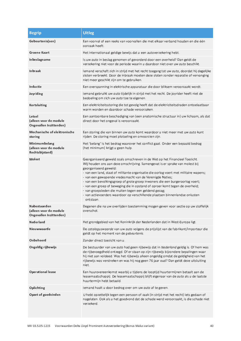| <b>Begrip</b>                                                     | <b>Uitleg</b>                                                                                                                                                                                                                                                                                                                                                                                                                                                                                                                                                                                                                                                    |
|-------------------------------------------------------------------|------------------------------------------------------------------------------------------------------------------------------------------------------------------------------------------------------------------------------------------------------------------------------------------------------------------------------------------------------------------------------------------------------------------------------------------------------------------------------------------------------------------------------------------------------------------------------------------------------------------------------------------------------------------|
| Gebeurtenis(sen)                                                  | Een voorval of een reeks van voorvallen die met elkaar verband houden en die één<br>oorzaak heeft.                                                                                                                                                                                                                                                                                                                                                                                                                                                                                                                                                               |
| Groene Kaart                                                      | Het internationaal geldige bewijs dat u een autoverzekering hebt.                                                                                                                                                                                                                                                                                                                                                                                                                                                                                                                                                                                                |
| Inbeslagname                                                      | Is uw auto in beslag genomen of gevorderd door een overheid? Dan geldt de<br>verzekering niet voor de periode waarin u daardoor niet over uw auto beschikt.                                                                                                                                                                                                                                                                                                                                                                                                                                                                                                      |
| <b>Inbraak</b>                                                    | lemand verschaft zich in strijd met het recht toegang tot uw auto, doordat hij degelijke<br>sloten verbreekt. Door de inbraak moeten deze sloten zonder reparatie of vervanging<br>niet meer geschikt zijn om te gebruiken.                                                                                                                                                                                                                                                                                                                                                                                                                                      |
| Inductie                                                          | Een overspanning in elektrische apparatuur die door bliksem veroorzaakt wordt.                                                                                                                                                                                                                                                                                                                                                                                                                                                                                                                                                                                   |
| Joyriding                                                         | lemand gebruikt uw auto tijdelijk in strijd met het recht. De joyrider heeft niet de<br>bedoeling om zich uw auto toe te eigenen.                                                                                                                                                                                                                                                                                                                                                                                                                                                                                                                                |
| Kortsluiting                                                      | Een elektriciteitsstoring die tot gevolg heeft dat de elektriciteitsdraden ontoelaatbaar<br>warm worden en daardoor schade veroorzaken.                                                                                                                                                                                                                                                                                                                                                                                                                                                                                                                          |
| Letsel<br>(alleen voor de module<br>Ongevallen Inzittenden)       | Een aantoonbare beschadiging van (een anatomische structuur in) uw lichaam, als dat<br>direct door het ongeval is veroorzaakt.                                                                                                                                                                                                                                                                                                                                                                                                                                                                                                                                   |
| Mechanische of elektronische<br>storing                           | Een storing die van binnen uw auto komt waardoor u niet meer met uw auto kunt<br>rijden. De storing moet plotseling en onvoorzien zijn.                                                                                                                                                                                                                                                                                                                                                                                                                                                                                                                          |
| Minimumbelang<br>(alleen voor de module<br>Rechtsbijstand)        | Het 'belang' is het bedrag waarover het conflict gaat. Onder een bepaald bedrag<br>(het minimum) krijgt u geen hulp.                                                                                                                                                                                                                                                                                                                                                                                                                                                                                                                                             |
| Molest                                                            | Georganiseerd geweld zoals omschreven in de Wet op het Financieel Toezicht.<br>Wij houden ons aan deze omschrijving. Samengevat is er sprake van molest bij<br>georganiseerd geweld:<br>- van een land, staat of militante organisatie die oorlog voert met militaire wapens;<br>- van een gewapende vredesmacht van de Verenigde Naties;<br>- van een bevolkingsgroep of grote groep inwoners die een burgeroorlog voert;<br>- van een groep of beweging die in opstand of oproer komt tegen de overheid;<br>- van groepsleden die muiten tegen een geldend gezag;<br>- van actievoerders waardoor op verschillende plaatsen binnenlandse onlusten<br>ontstaan. |
| Nabestaanden<br>(alleen voor de module<br>Ongevallen Inzittenden) | Degenen die na uw overlijden toestemming mogen geven voor sectie op uw stoffelijk<br>overschot.                                                                                                                                                                                                                                                                                                                                                                                                                                                                                                                                                                  |
| Nederland                                                         | Het grondgebied van het Koninkrijk der Nederlanden dat in West-Europa ligt.                                                                                                                                                                                                                                                                                                                                                                                                                                                                                                                                                                                      |
| Nieuwwaarde                                                       | De cataloguswaarde van uw auto volgens de prijslijst van de fabrikant/importeur die<br>geldt op het moment van de gebeurtenis.                                                                                                                                                                                                                                                                                                                                                                                                                                                                                                                                   |
| Onbeheerd                                                         | Zonder direct toezicht van u.                                                                                                                                                                                                                                                                                                                                                                                                                                                                                                                                                                                                                                    |
| Ongeldig rijbewijs                                                | De bestuurder van uw auto had geen rijbewijs dat in Nederland geldig is. Of hem was<br>de rijbevoegdheid ontzegd. Of er staan op zijn rijbewijs bijzondere bepalingen waar<br>hij niet aan voldeed. Was het rijbewijs alleen ongeldig omdat de geldigheid van het<br>rijbewijs was verstreken en was hij nog geen 76 jaar oud? Dan geldt deze uitsluiting<br>niet.                                                                                                                                                                                                                                                                                               |
| <b>Operational lease</b>                                          | Een huurovereenkomst waarbij u tijdens de looptijd huurtermijnen betaalt aan de<br>leasemaatschappij. De leasemaatschappij blijft eigenaar van de auto als u de laatste<br>huurtermijn hebt betaald.                                                                                                                                                                                                                                                                                                                                                                                                                                                             |
| Oplichting                                                        | lemand haalt u door bedrog over om uw auto af te geven.                                                                                                                                                                                                                                                                                                                                                                                                                                                                                                                                                                                                          |
| Opzet of goedvinden                                               | U hebt opzettelijk tegen een persoon of zaak (in strijd met het recht) iets gedaan of<br>nagelaten. Ook als u het goedvond dat de schade werd veroorzaakt, is die schade niet<br>verzekerd.                                                                                                                                                                                                                                                                                                                                                                                                                                                                      |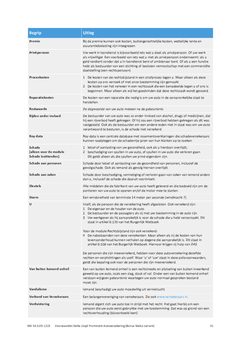| <b>Begrip</b>                                                  | <b>Uitleg</b>                                                                                                                                                                                                                                                                                                                                                                                                                                                                                                                                                                                                                                                                                                                               |
|----------------------------------------------------------------|---------------------------------------------------------------------------------------------------------------------------------------------------------------------------------------------------------------------------------------------------------------------------------------------------------------------------------------------------------------------------------------------------------------------------------------------------------------------------------------------------------------------------------------------------------------------------------------------------------------------------------------------------------------------------------------------------------------------------------------------|
| Premie                                                         | Bij de premie kunnen ook kosten, buitengerechtelijke kosten, wettelijke rente en<br>assurantiebelasting zijn inbegrepen.                                                                                                                                                                                                                                                                                                                                                                                                                                                                                                                                                                                                                    |
| Privépersoon                                                   | Uw werk in loondienst is bijvoorbeeld iets wat u doet als privépersoon. Of uw werk<br>als vrijwilliger. Een voorbeeld van iets wat u niet als privépersoon onderneemt: als u<br>geld verdient zonder dat $u$ in loondienst bent of ambtenaar bent. Of als $u$ een functie<br>hebt als bestuurder van een stichting of besloten vennootschap met een commerciële<br>doelstelling (een rechtspersoon).                                                                                                                                                                                                                                                                                                                                        |
| Proceskosten                                                   | 1 De kosten van de rechtsbijstand in een strafproces tegen u. Maar alleen als deze<br>kosten op ons verzoek of met onze toestemming zijn gemaakt.<br>2 De kosten van het verweer in een rechtszaak die een benadeelde tegen u of ons is<br>begonnen. Maar alleen als wij het goedvinden dat deze rechtszaak wordt gevoerd.                                                                                                                                                                                                                                                                                                                                                                                                                  |
| Reparatiekosten                                                | De kosten van een reparatie die nodig is om uw auto in de oorspronkelijke staat te<br>herstellen.                                                                                                                                                                                                                                                                                                                                                                                                                                                                                                                                                                                                                                           |
| Restwaarde                                                     | De dagwaarde van uw auto meteen na de gebeurtenis.                                                                                                                                                                                                                                                                                                                                                                                                                                                                                                                                                                                                                                                                                          |
| Rijden onder invloed                                           | De bestuurder van uw auto was zo onder invloed van alcohol, drugs of medicijnen, dat<br>hij een rijverbod heeft gekregen. Of hij zou een rijverbod hebben gekregen als dit was<br>vastgesteld. Ook als de bestuurder om een andere reden niet in staat was om uw auto<br>verantwoord te besturen, is de schade niet verzekerd.                                                                                                                                                                                                                                                                                                                                                                                                              |
| Roy-data                                                       | Roy-data is een centrale database met royementsverklaringen die schadeverzekeraars<br>kunnen raadplegen om de schadevrije jaren van hun klanten op te zoeken.                                                                                                                                                                                                                                                                                                                                                                                                                                                                                                                                                                               |
| <b>Schade</b><br>(alleen voor de module<br>Schade Inzittenden) | 1 letsel of aantasting van uw gezondheid, ook als u hierdoor overlijdt;<br>2 beschadiging van spullen in uw auto, of spullen in uw auto die verloren gaan.<br>Dit geldt alleen als die spullen uw privé-eigendom zijn.                                                                                                                                                                                                                                                                                                                                                                                                                                                                                                                      |
| Schade aan personen                                            | Schade door letsel of aantasting van de gezondheid van personen, inclusief de<br>gevolgschade. Ook als iemand als gevolg hiervan overlijdt.                                                                                                                                                                                                                                                                                                                                                                                                                                                                                                                                                                                                 |
| Schade aan zaken                                               | Schade door beschadiging, vernietiging of verloren gaan van zaken van iemand anders<br>dan u, inclusief de schade die daaruit voortvloeit.                                                                                                                                                                                                                                                                                                                                                                                                                                                                                                                                                                                                  |
| <b>Sleutels</b>                                                | Alle middelen die de fabrikant van uw auto heeft geleverd en die bedoeld zijn om de<br>portieren van uw auto te openen en/of de motor mee te starten.                                                                                                                                                                                                                                                                                                                                                                                                                                                                                                                                                                                       |
| Storm                                                          | Een windsnelheid van tenminste 14 meter per seconde (windkracht 7).                                                                                                                                                                                                                                                                                                                                                                                                                                                                                                                                                                                                                                                                         |
| U                                                              | Uzelf, als de persoon die de verzekering heeft afgesloten. Ook verzekerd zijn:<br>1 De eigenaar en de houder van de auto.<br>2 De bestuurder en de passagiers als zij met uw toestemming in de auto zijn.<br>3 Uw werkgever als hij aansprakelijk is voor de schade die u hebt veroorzaakt. Dit<br>staat in artikel 6:170 van het Burgerlijk Wetboek.<br>Voor de module Rechtsbijstand zijn ook verzekerd:<br>4 De nabestaanden van deze verzekerden. Maar alleen als zij de kosten van hun<br>levensonderhoud kunnen verhalen op degene die aansprakelijk is. Dit staat in<br>artikel 6:108 van het Burgerlijk Wetboek. Hiervoor krijgen zij hulp van DAS.<br>De personen die zijn meeverzekerd, hebben voor deze autoverzekering dezelfde |
|                                                                | rechten en verplichtingen als uzelf. Waar 'u' of 'uw' staat in deze polisvoorwaarden,<br>geldt die bepaling ook voor de personen die zijn meeverzekerd.                                                                                                                                                                                                                                                                                                                                                                                                                                                                                                                                                                                     |
| Van buiten komend onheil                                       | Een van buiten komend onheil is een rechtstreeks en plotseling van buiten inwerkend<br>geweld op uw auto, zoals een slag, stoot of val. Onder een van buiten komend onheil<br>verstaan wij geen gebeurtenis waartegen uw auto normaal gesproken bestand<br>moet zijn.                                                                                                                                                                                                                                                                                                                                                                                                                                                                       |
| Vandalisme                                                     | lemand beschadigt uw auto moedwillig uit vernielzucht.                                                                                                                                                                                                                                                                                                                                                                                                                                                                                                                                                                                                                                                                                      |
| Verbond van Verzekeraars                                       | Een belangenvereniging van verzekeraars. Zie ook www.verzekeraars.nl.                                                                                                                                                                                                                                                                                                                                                                                                                                                                                                                                                                                                                                                                       |
| Verduistering                                                  | lemand eigent zich uw auto toe in strijd met het recht. Het gaat hierbij om een<br>persoon die uw auto eerst gebruikte met uw toestemming. Dat was op grond van een<br>rechtsverhouding (bijvoorbeeld leen).                                                                                                                                                                                                                                                                                                                                                                                                                                                                                                                                |